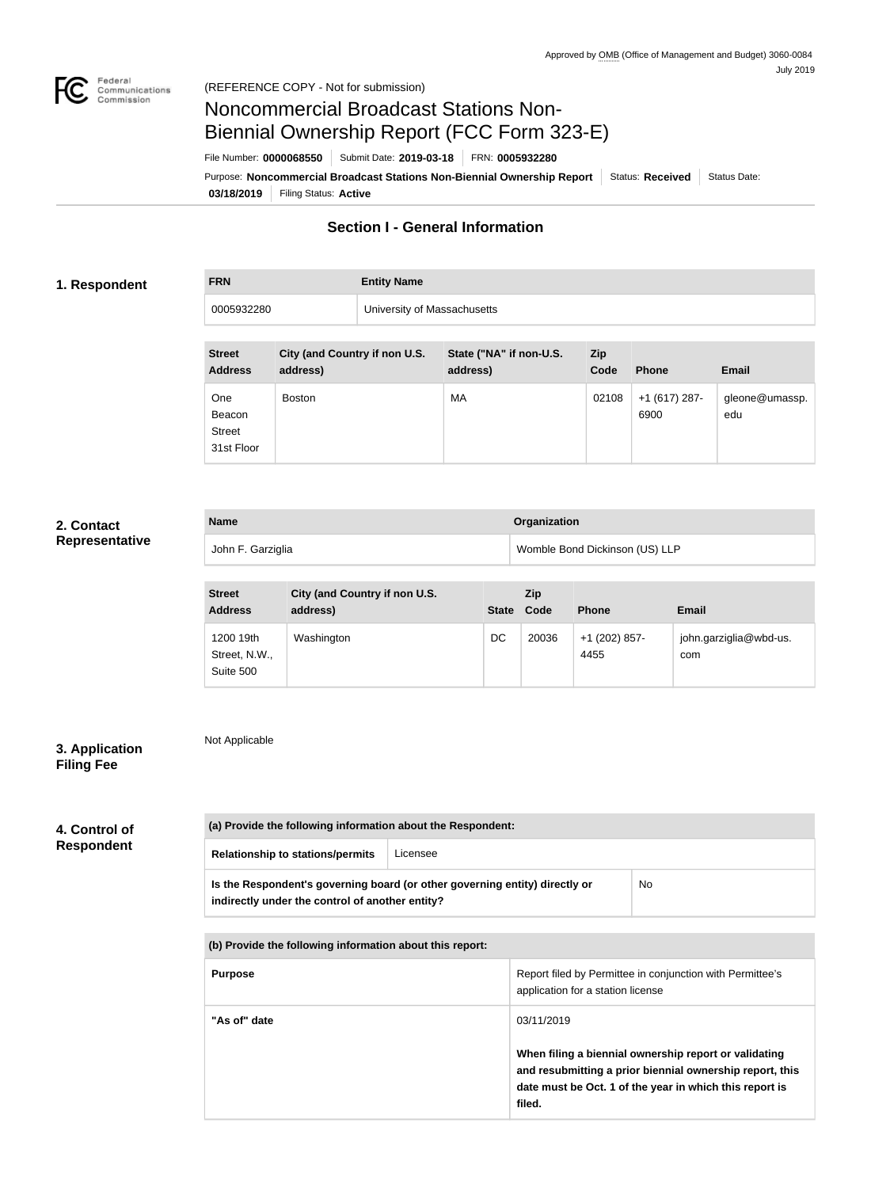

### (REFERENCE COPY - Not for submission)

# Noncommercial Broadcast Stations Non-Biennial Ownership Report (FCC Form 323-E)

File Number: **0000068550** Submit Date: **2019-03-18** FRN: **0005932280**

**03/18/2019** Filing Status: **Active** Purpose: **Noncommercial Broadcast Stations Non-Biennial Ownership Report** Status: Received Status Date:

# **Section I - General Information**

### **1. Respondent**

**FRN Entity Name**

0005932280 University of Massachusetts

| <b>Street</b><br><b>Address</b>                     | City (and Country if non U.S.<br>address) | State ("NA" if non-U.S.<br>address) | <b>Zip</b><br>Code | <b>Phone</b>            | <b>Email</b>          |
|-----------------------------------------------------|-------------------------------------------|-------------------------------------|--------------------|-------------------------|-----------------------|
| <b>One</b><br>Beacon<br><b>Street</b><br>31st Floor | <b>Boston</b>                             | MA                                  | 02108              | $+1$ (617) 287-<br>6900 | gleone@umassp.<br>edu |

## **2. Contact Representative**

| <b>Name</b>       | <b>Organization</b>            |  |
|-------------------|--------------------------------|--|
| John F. Garziglia | Womble Bond Dickinson (US) LLP |  |

| <b>Street</b><br><b>Address</b>         | City (and Country if non U.S.<br>address) |    | <b>Zip</b><br>State Code | <b>Phone</b>          | Email                         |
|-----------------------------------------|-------------------------------------------|----|--------------------------|-----------------------|-------------------------------|
| 1200 19th<br>Street, N.W.,<br>Suite 500 | Washington                                | DC | 20036                    | +1 (202) 857-<br>4455 | john.garziglia@wbd-us.<br>com |

# **3. Application Filing Fee**

Not Applicable

# **4. Control of Respondent**

| <b>Relationship to stations/permits</b>                                                                                        | Licensee |    |
|--------------------------------------------------------------------------------------------------------------------------------|----------|----|
| Is the Respondent's governing board (or other governing entity) directly or<br>indirectly under the control of another entity? |          | No |

| (b) Provide the following information about this report: |                                                                                                                                                                                        |
|----------------------------------------------------------|----------------------------------------------------------------------------------------------------------------------------------------------------------------------------------------|
| <b>Purpose</b>                                           | Report filed by Permittee in conjunction with Permittee's<br>application for a station license                                                                                         |
| "As of" date                                             | 03/11/2019                                                                                                                                                                             |
|                                                          | When filing a biennial ownership report or validating<br>and resubmitting a prior biennial ownership report, this<br>date must be Oct. 1 of the year in which this report is<br>filed. |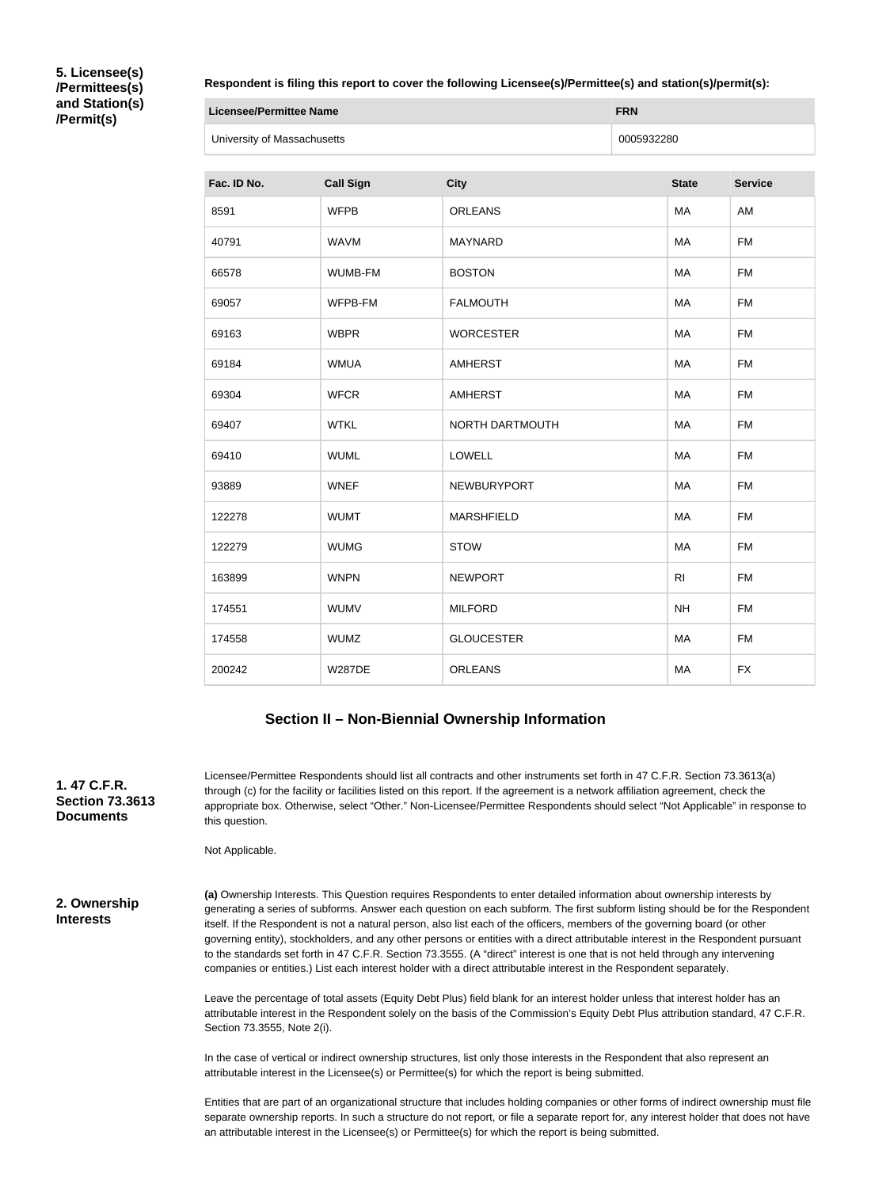**5. Licensee(s) /Permittees(s) and Station(s) /Permit(s)**

### **Respondent is filing this report to cover the following Licensee(s)/Permittee(s) and station(s)/permit(s):**

| <b>Licensee/Permittee Name</b> | <b>FRN</b> |
|--------------------------------|------------|
| University of Massachusetts    | 0005932280 |

| Fac. ID No. | <b>Call Sign</b> | <b>City</b>       | <b>State</b>   | <b>Service</b> |
|-------------|------------------|-------------------|----------------|----------------|
| 8591        | <b>WFPB</b>      | <b>ORLEANS</b>    | MA             | AM             |
| 40791       | <b>WAVM</b>      | <b>MAYNARD</b>    | MA             | <b>FM</b>      |
| 66578       | WUMB-FM          | <b>BOSTON</b>     | MA             | <b>FM</b>      |
| 69057       | WFPB-FM          | <b>FALMOUTH</b>   | MA             | <b>FM</b>      |
| 69163       | <b>WBPR</b>      | <b>WORCESTER</b>  | MA             | <b>FM</b>      |
| 69184       | <b>WMUA</b>      | <b>AMHERST</b>    | MA             | <b>FM</b>      |
| 69304       | <b>WFCR</b>      | <b>AMHERST</b>    | MA             | <b>FM</b>      |
| 69407       | <b>WTKL</b>      | NORTH DARTMOUTH   | MA             | <b>FM</b>      |
| 69410       | <b>WUML</b>      | <b>LOWELL</b>     | MA             | <b>FM</b>      |
| 93889       | <b>WNEF</b>      | NEWBURYPORT       | MA             | <b>FM</b>      |
| 122278      | <b>WUMT</b>      | <b>MARSHFIELD</b> | MA             | <b>FM</b>      |
| 122279      | <b>WUMG</b>      | <b>STOW</b>       | MA             | <b>FM</b>      |
| 163899      | <b>WNPN</b>      | <b>NEWPORT</b>    | R <sub>l</sub> | <b>FM</b>      |
| 174551      | <b>WUMV</b>      | <b>MILFORD</b>    | <b>NH</b>      | <b>FM</b>      |
| 174558      | <b>WUMZ</b>      | <b>GLOUCESTER</b> | MA             | <b>FM</b>      |
| 200242      | <b>W287DE</b>    | <b>ORLEANS</b>    | MA             | <b>FX</b>      |

# **Section II – Non-Biennial Ownership Information**

| 1.47 C.F.R.<br><b>Section 73.3613</b><br><b>Documents</b> | Licensee/Permittee Respondents should list all contracts and other instruments set forth in 47 C.F.R. Section 73.3613(a)<br>through (c) for the facility or facilities listed on this report. If the agreement is a network affiliation agreement, check the<br>appropriate box. Otherwise, select "Other." Non-Licensee/Permittee Respondents should select "Not Applicable" in response to<br>this question.                                                                                                                                                                                                                                                                                                                                                                      |
|-----------------------------------------------------------|-------------------------------------------------------------------------------------------------------------------------------------------------------------------------------------------------------------------------------------------------------------------------------------------------------------------------------------------------------------------------------------------------------------------------------------------------------------------------------------------------------------------------------------------------------------------------------------------------------------------------------------------------------------------------------------------------------------------------------------------------------------------------------------|
|                                                           | Not Applicable.                                                                                                                                                                                                                                                                                                                                                                                                                                                                                                                                                                                                                                                                                                                                                                     |
| 2. Ownership<br><b>Interests</b>                          | (a) Ownership Interests. This Question requires Respondents to enter detailed information about ownership interests by<br>generating a series of subforms. Answer each question on each subform. The first subform listing should be for the Respondent<br>itself. If the Respondent is not a natural person, also list each of the officers, members of the governing board (or other<br>governing entity), stockholders, and any other persons or entities with a direct attributable interest in the Respondent pursuant<br>to the standards set forth in 47 C.F.R. Section 73.3555. (A "direct" interest is one that is not held through any intervening<br>companies or entities.) List each interest holder with a direct attributable interest in the Respondent separately. |
|                                                           | Leave the percentage of total assets (Equity Debt Plus) field blank for an interest holder unless that interest holder has an<br>attributable interest in the Respondent solely on the basis of the Commission's Equity Debt Plus attribution standard, 47 C.F.R.<br>Section 73.3555, Note 2(i).                                                                                                                                                                                                                                                                                                                                                                                                                                                                                    |
|                                                           | In the case of vertical or indirect ownership structures, list only those interests in the Respondent that also represent an<br>attributable interest in the Licensee(s) or Permittee(s) for which the report is being submitted.                                                                                                                                                                                                                                                                                                                                                                                                                                                                                                                                                   |

Entities that are part of an organizational structure that includes holding companies or other forms of indirect ownership must file separate ownership reports. In such a structure do not report, or file a separate report for, any interest holder that does not have an attributable interest in the Licensee(s) or Permittee(s) for which the report is being submitted.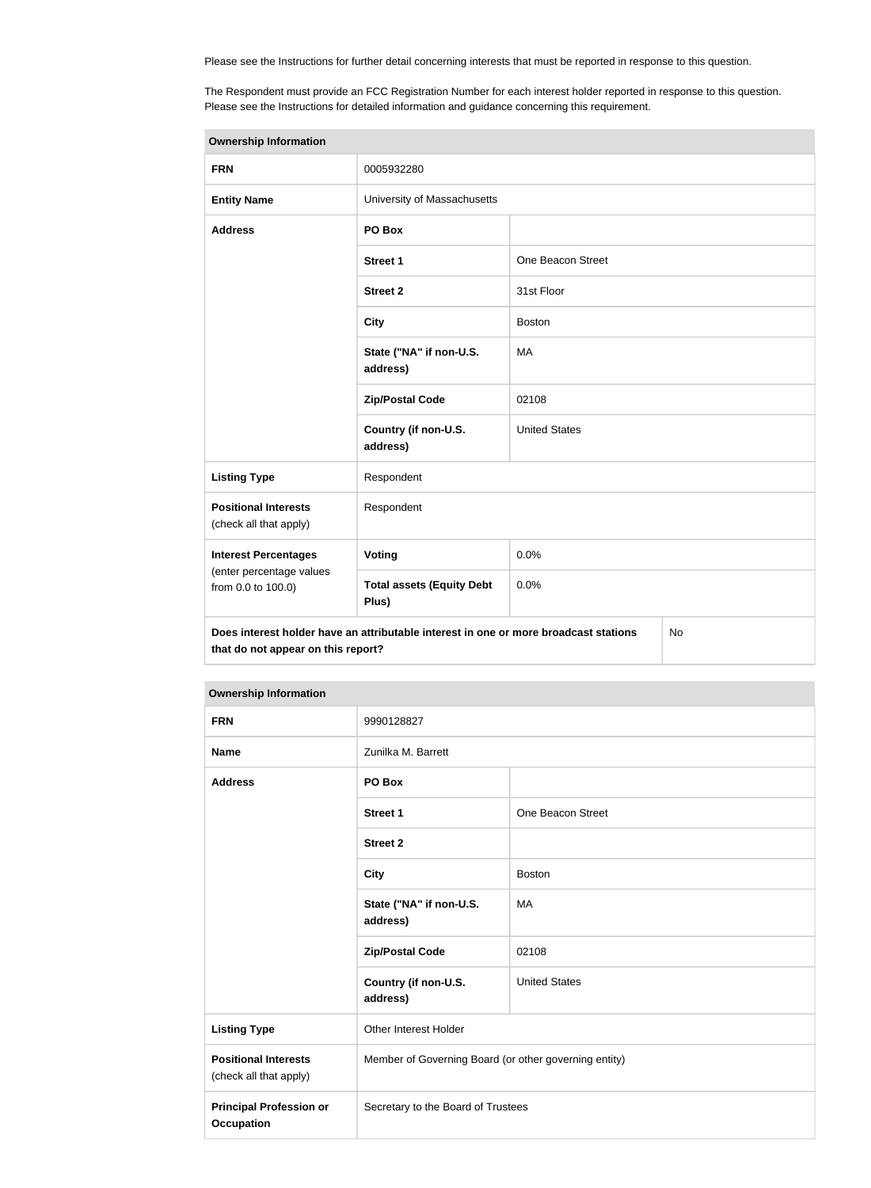Please see the Instructions for further detail concerning interests that must be reported in response to this question.

The Respondent must provide an FCC Registration Number for each interest holder reported in response to this question. Please see the Instructions for detailed information and guidance concerning this requirement.

| <b>Ownership Information</b>                                                                                                            |                                           |                      |  |  |
|-----------------------------------------------------------------------------------------------------------------------------------------|-------------------------------------------|----------------------|--|--|
| <b>FRN</b>                                                                                                                              | 0005932280                                |                      |  |  |
| <b>Entity Name</b>                                                                                                                      | University of Massachusetts               |                      |  |  |
| <b>Address</b>                                                                                                                          | PO Box                                    |                      |  |  |
|                                                                                                                                         | <b>Street 1</b>                           | One Beacon Street    |  |  |
|                                                                                                                                         | <b>Street 2</b>                           | 31st Floor           |  |  |
|                                                                                                                                         | <b>City</b>                               | <b>Boston</b>        |  |  |
|                                                                                                                                         | State ("NA" if non-U.S.<br>address)       | MA                   |  |  |
|                                                                                                                                         | <b>Zip/Postal Code</b>                    | 02108                |  |  |
|                                                                                                                                         | Country (if non-U.S.<br>address)          | <b>United States</b> |  |  |
| <b>Listing Type</b>                                                                                                                     | Respondent                                |                      |  |  |
| <b>Positional Interests</b><br>(check all that apply)                                                                                   | Respondent                                |                      |  |  |
| <b>Interest Percentages</b>                                                                                                             | Voting                                    | 0.0%                 |  |  |
| (enter percentage values<br>from 0.0 to 100.0)                                                                                          | <b>Total assets (Equity Debt</b><br>Plus) | 0.0%                 |  |  |
| Does interest holder have an attributable interest in one or more broadcast stations<br><b>No</b><br>that do not appear on this report? |                                           |                      |  |  |

| <b>FRN</b>                                            | 9990128827                                            |                      |  |
|-------------------------------------------------------|-------------------------------------------------------|----------------------|--|
| <b>Name</b>                                           | Zunilka M. Barrett                                    |                      |  |
| <b>Address</b>                                        | PO Box                                                |                      |  |
|                                                       | <b>Street 1</b>                                       | One Beacon Street    |  |
|                                                       | <b>Street 2</b>                                       |                      |  |
|                                                       | <b>City</b>                                           | <b>Boston</b>        |  |
|                                                       | State ("NA" if non-U.S.<br>address)                   | <b>MA</b>            |  |
|                                                       | <b>Zip/Postal Code</b>                                | 02108                |  |
|                                                       | Country (if non-U.S.<br>address)                      | <b>United States</b> |  |
| <b>Listing Type</b>                                   | Other Interest Holder                                 |                      |  |
| <b>Positional Interests</b><br>(check all that apply) | Member of Governing Board (or other governing entity) |                      |  |
| <b>Principal Profession or</b><br><b>Occupation</b>   | Secretary to the Board of Trustees                    |                      |  |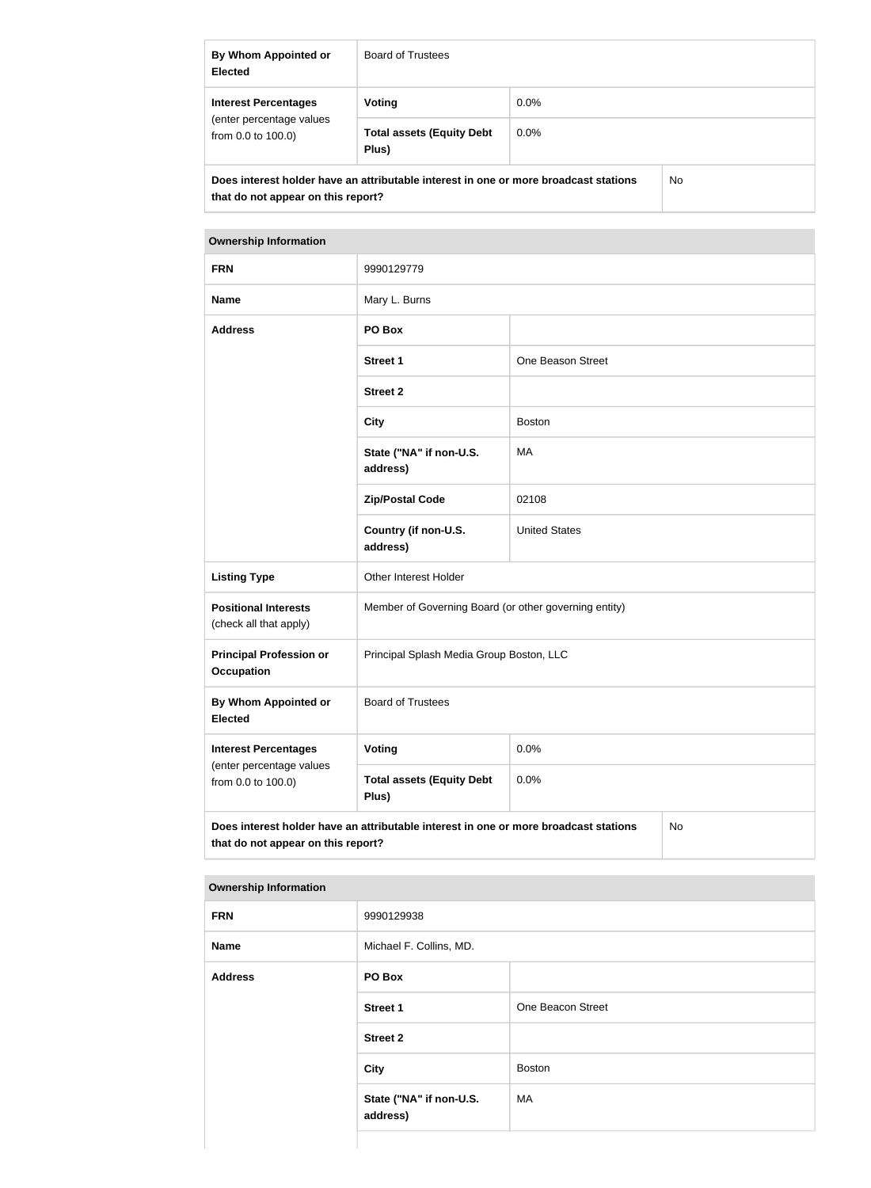| By Whom Appointed or<br><b>Elected</b>                                                                                     | <b>Board of Trustees</b>                  |         |  |
|----------------------------------------------------------------------------------------------------------------------------|-------------------------------------------|---------|--|
| <b>Interest Percentages</b>                                                                                                | Voting                                    | $0.0\%$ |  |
| (enter percentage values<br>from $0.0$ to $100.0$ )                                                                        | <b>Total assets (Equity Debt</b><br>Plus) | $0.0\%$ |  |
| Does interest holder have an attributable interest in one or more broadcast stations<br>that do not appear on this report? |                                           | No.     |  |

| <b>FRN</b>                                                                                                                       | 9990129779                                            |                      |  |  |
|----------------------------------------------------------------------------------------------------------------------------------|-------------------------------------------------------|----------------------|--|--|
| <b>Name</b>                                                                                                                      | Mary L. Burns                                         |                      |  |  |
| <b>Address</b>                                                                                                                   | PO Box                                                |                      |  |  |
|                                                                                                                                  | <b>Street 1</b>                                       | One Beason Street    |  |  |
|                                                                                                                                  | <b>Street 2</b>                                       |                      |  |  |
|                                                                                                                                  | <b>City</b>                                           | <b>Boston</b>        |  |  |
|                                                                                                                                  | State ("NA" if non-U.S.<br>address)                   | MA                   |  |  |
|                                                                                                                                  | <b>Zip/Postal Code</b>                                | 02108                |  |  |
|                                                                                                                                  | Country (if non-U.S.<br>address)                      | <b>United States</b> |  |  |
| <b>Listing Type</b>                                                                                                              | Other Interest Holder                                 |                      |  |  |
| <b>Positional Interests</b><br>(check all that apply)                                                                            | Member of Governing Board (or other governing entity) |                      |  |  |
| <b>Principal Profession or</b><br><b>Occupation</b>                                                                              | Principal Splash Media Group Boston, LLC              |                      |  |  |
| <b>By Whom Appointed or</b><br><b>Elected</b>                                                                                    | <b>Board of Trustees</b>                              |                      |  |  |
| <b>Interest Percentages</b>                                                                                                      | Voting                                                | 0.0%                 |  |  |
| (enter percentage values<br>from 0.0 to 100.0)                                                                                   | <b>Total assets (Equity Debt</b><br>Plus)             | 0.0%                 |  |  |
| Does interest holder have an attributable interest in one or more broadcast stations<br>No<br>that do not appear on this report? |                                                       |                      |  |  |

| <b>FRN</b>     | 9990129938                          |                   |
|----------------|-------------------------------------|-------------------|
| <b>Name</b>    | Michael F. Collins, MD.             |                   |
| <b>Address</b> | PO Box                              |                   |
|                | Street 1                            | One Beacon Street |
|                | <b>Street 2</b>                     |                   |
|                | City                                | <b>Boston</b>     |
|                | State ("NA" if non-U.S.<br>address) | MA                |
|                |                                     |                   |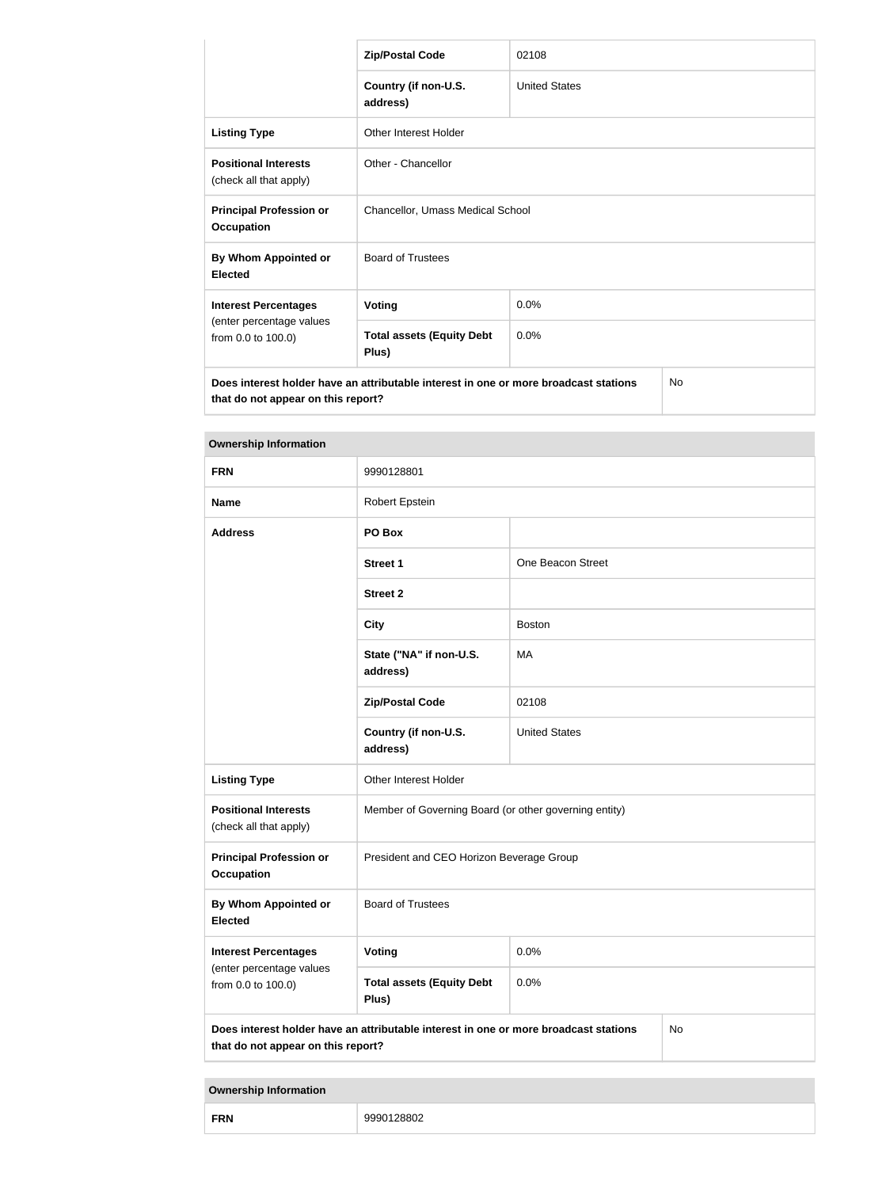|                                                                                                                            | <b>Zip/Postal Code</b>                    | 02108                |  |
|----------------------------------------------------------------------------------------------------------------------------|-------------------------------------------|----------------------|--|
|                                                                                                                            | Country (if non-U.S.<br>address)          | <b>United States</b> |  |
| <b>Listing Type</b>                                                                                                        | <b>Other Interest Holder</b>              |                      |  |
| <b>Positional Interests</b><br>(check all that apply)                                                                      | Other - Chancellor                        |                      |  |
| <b>Principal Profession or</b><br><b>Occupation</b>                                                                        | Chancellor, Umass Medical School          |                      |  |
| By Whom Appointed or<br><b>Elected</b>                                                                                     | <b>Board of Trustees</b>                  |                      |  |
| <b>Interest Percentages</b>                                                                                                | <b>Voting</b>                             | 0.0%                 |  |
| (enter percentage values<br>from 0.0 to 100.0)                                                                             | <b>Total assets (Equity Debt</b><br>Plus) | 0.0%                 |  |
| Does interest holder have an attributable interest in one or more broadcast stations<br>that do not appear on this report? |                                           | <b>No</b>            |  |

| <b>Ownership Information</b>                          |                                                                                      |                      |    |
|-------------------------------------------------------|--------------------------------------------------------------------------------------|----------------------|----|
| <b>FRN</b>                                            | 9990128801                                                                           |                      |    |
| <b>Name</b>                                           | Robert Epstein                                                                       |                      |    |
| <b>Address</b>                                        | PO Box                                                                               |                      |    |
|                                                       | <b>Street 1</b>                                                                      | One Beacon Street    |    |
|                                                       | <b>Street 2</b>                                                                      |                      |    |
|                                                       | <b>City</b>                                                                          | <b>Boston</b>        |    |
|                                                       | State ("NA" if non-U.S.<br>address)                                                  | MA                   |    |
|                                                       | <b>Zip/Postal Code</b>                                                               | 02108                |    |
|                                                       | Country (if non-U.S.<br>address)                                                     | <b>United States</b> |    |
| <b>Listing Type</b>                                   | Other Interest Holder                                                                |                      |    |
| <b>Positional Interests</b><br>(check all that apply) | Member of Governing Board (or other governing entity)                                |                      |    |
| <b>Principal Profession or</b><br><b>Occupation</b>   | President and CEO Horizon Beverage Group                                             |                      |    |
| <b>By Whom Appointed or</b><br><b>Elected</b>         | <b>Board of Trustees</b>                                                             |                      |    |
| <b>Interest Percentages</b>                           | Voting                                                                               | 0.0%                 |    |
| (enter percentage values<br>from 0.0 to 100.0)        | <b>Total assets (Equity Debt</b><br>Plus)                                            | 0.0%                 |    |
| that do not appear on this report?                    | Does interest holder have an attributable interest in one or more broadcast stations |                      | No |

| <b>Ownership Information</b> |  |
|------------------------------|--|
|                              |  |

| <b>FRN</b> | w |
|------------|---|
|------------|---|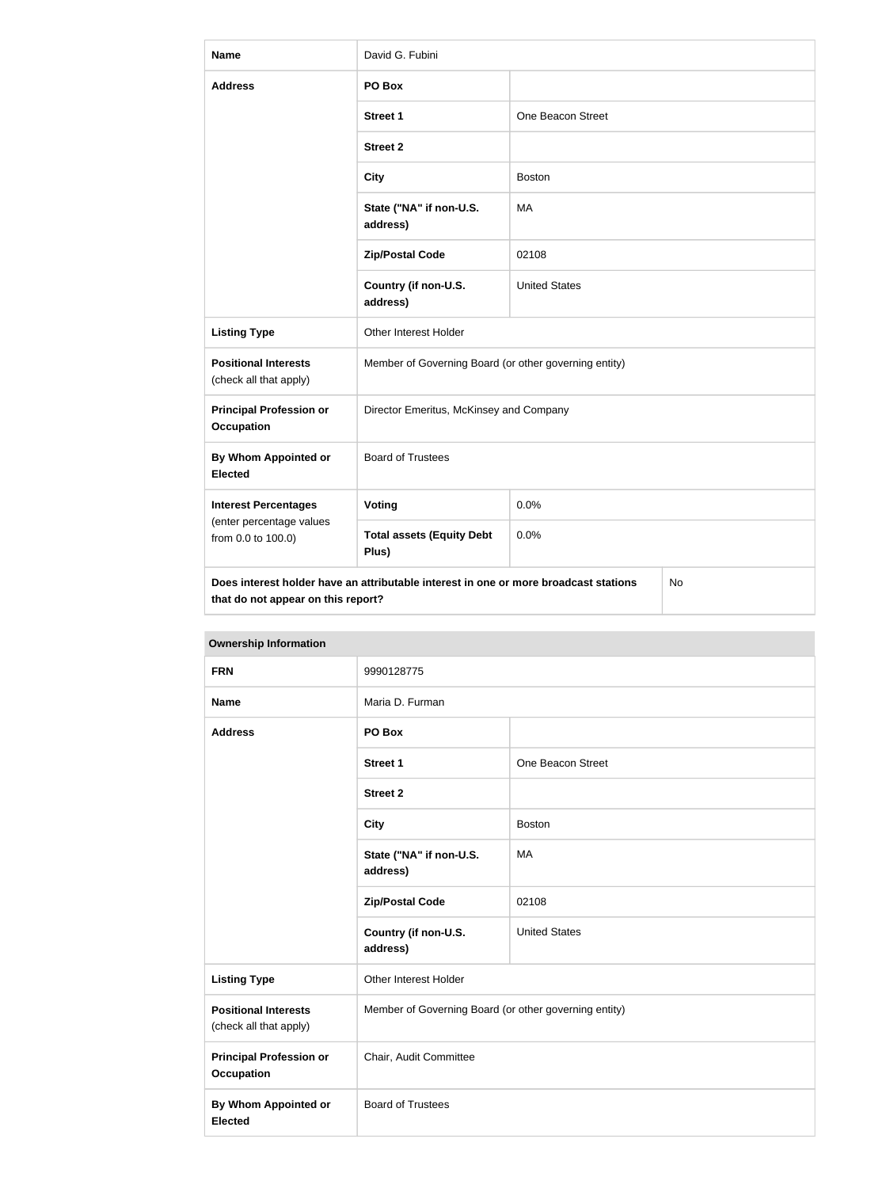| <b>Name</b>                                           | David G. Fubini                                                                      |                      |     |
|-------------------------------------------------------|--------------------------------------------------------------------------------------|----------------------|-----|
| <b>Address</b>                                        | PO Box                                                                               |                      |     |
|                                                       | <b>Street 1</b>                                                                      | One Beacon Street    |     |
|                                                       | <b>Street 2</b>                                                                      |                      |     |
|                                                       | <b>City</b>                                                                          | <b>Boston</b>        |     |
|                                                       | State ("NA" if non-U.S.<br>address)                                                  | MA                   |     |
|                                                       | <b>Zip/Postal Code</b>                                                               | 02108                |     |
|                                                       | Country (if non-U.S.<br>address)                                                     | <b>United States</b> |     |
| <b>Listing Type</b>                                   | Other Interest Holder                                                                |                      |     |
| <b>Positional Interests</b><br>(check all that apply) | Member of Governing Board (or other governing entity)                                |                      |     |
| <b>Principal Profession or</b><br><b>Occupation</b>   | Director Emeritus, McKinsey and Company                                              |                      |     |
| <b>By Whom Appointed or</b><br><b>Elected</b>         | <b>Board of Trustees</b>                                                             |                      |     |
| <b>Interest Percentages</b>                           | <b>Voting</b>                                                                        | 0.0%                 |     |
| (enter percentage values<br>from 0.0 to 100.0)        | <b>Total assets (Equity Debt</b><br>Plus)                                            | 0.0%                 |     |
| that do not appear on this report?                    | Does interest holder have an attributable interest in one or more broadcast stations |                      | No. |

| <b>Ownership Information</b>                          |                                                                                     |                      |  |
|-------------------------------------------------------|-------------------------------------------------------------------------------------|----------------------|--|
| <b>FRN</b>                                            | 9990128775                                                                          |                      |  |
| <b>Name</b>                                           | Maria D. Furman                                                                     |                      |  |
| <b>Address</b>                                        | PO Box                                                                              |                      |  |
|                                                       | <b>Street 1</b>                                                                     | One Beacon Street    |  |
|                                                       | <b>Street 2</b>                                                                     |                      |  |
|                                                       | <b>City</b>                                                                         | <b>Boston</b>        |  |
|                                                       | State ("NA" if non-U.S.<br><b>MA</b><br>address)<br>02108<br><b>Zip/Postal Code</b> |                      |  |
|                                                       |                                                                                     |                      |  |
|                                                       | Country (if non-U.S.<br>address)                                                    | <b>United States</b> |  |
| <b>Listing Type</b>                                   | Other Interest Holder                                                               |                      |  |
| <b>Positional Interests</b><br>(check all that apply) | Member of Governing Board (or other governing entity)                               |                      |  |
| <b>Principal Profession or</b><br><b>Occupation</b>   | Chair, Audit Committee                                                              |                      |  |
| <b>By Whom Appointed or</b><br><b>Elected</b>         | <b>Board of Trustees</b>                                                            |                      |  |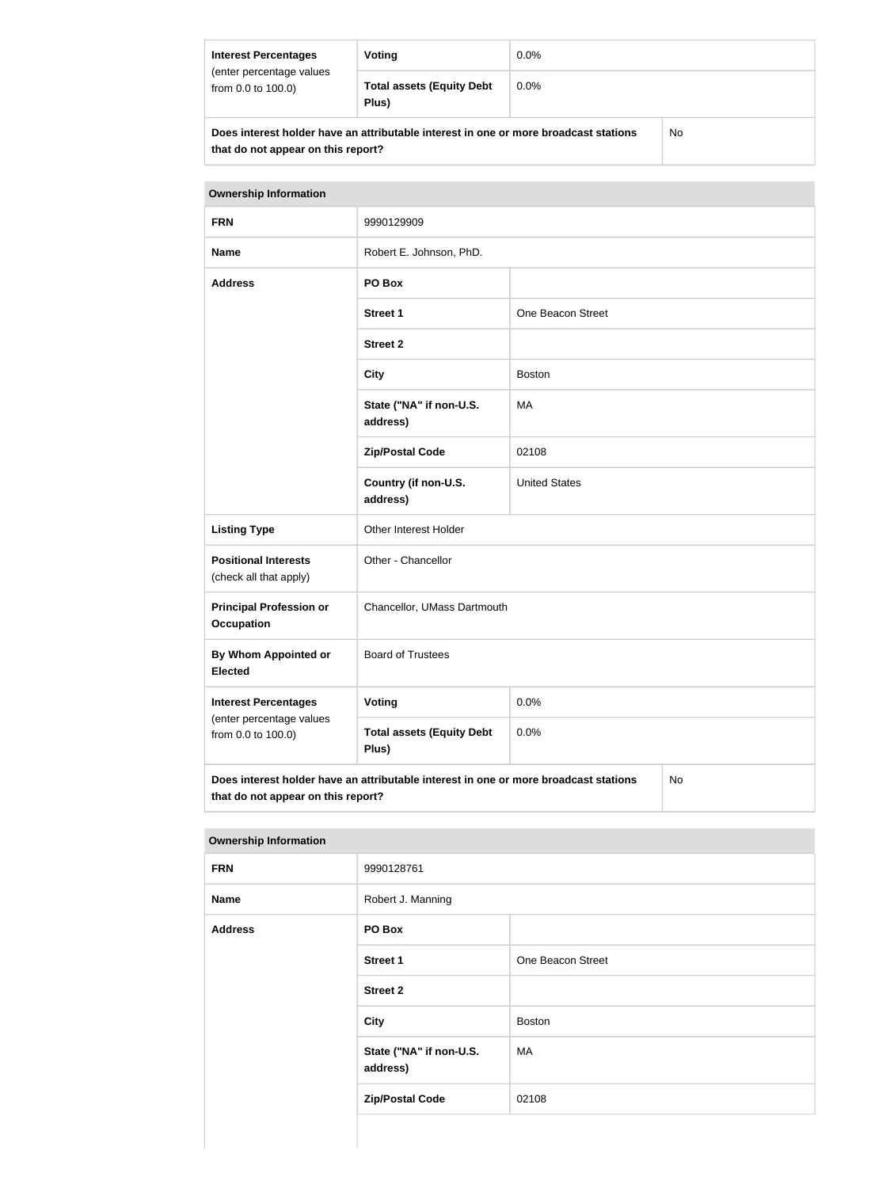| <b>Interest Percentages</b><br>(enter percentage values<br>from 0.0 to 100.0)        | Voting                                    | $0.0\%$ |    |
|--------------------------------------------------------------------------------------|-------------------------------------------|---------|----|
|                                                                                      | <b>Total assets (Equity Debt</b><br>Plus) | $0.0\%$ |    |
| Does interest holder have an attributable interest in one or more broadcast stations |                                           |         | No |

**that do not appear on this report?**

| <b>Ownership Information</b>                                                                                                     |                                           |                      |  |
|----------------------------------------------------------------------------------------------------------------------------------|-------------------------------------------|----------------------|--|
| <b>FRN</b>                                                                                                                       | 9990129909                                |                      |  |
| <b>Name</b>                                                                                                                      | Robert E. Johnson, PhD.                   |                      |  |
| <b>Address</b>                                                                                                                   | PO Box                                    |                      |  |
|                                                                                                                                  | <b>Street 1</b>                           | One Beacon Street    |  |
|                                                                                                                                  | <b>Street 2</b>                           |                      |  |
|                                                                                                                                  | <b>City</b>                               | <b>Boston</b>        |  |
|                                                                                                                                  | State ("NA" if non-U.S.<br>address)       | <b>MA</b>            |  |
|                                                                                                                                  | <b>Zip/Postal Code</b>                    | 02108                |  |
|                                                                                                                                  | Country (if non-U.S.<br>address)          | <b>United States</b> |  |
| <b>Listing Type</b>                                                                                                              | Other Interest Holder                     |                      |  |
| <b>Positional Interests</b><br>(check all that apply)                                                                            | Other - Chancellor                        |                      |  |
| <b>Principal Profession or</b><br><b>Occupation</b>                                                                              | Chancellor, UMass Dartmouth               |                      |  |
| By Whom Appointed or<br><b>Elected</b>                                                                                           | <b>Board of Trustees</b>                  |                      |  |
| <b>Interest Percentages</b>                                                                                                      | Voting                                    | 0.0%                 |  |
| (enter percentage values<br>from 0.0 to 100.0)                                                                                   | <b>Total assets (Equity Debt</b><br>Plus) | 0.0%                 |  |
| Does interest holder have an attributable interest in one or more broadcast stations<br>No<br>that do not appear on this report? |                                           |                      |  |

| <b>Ownership Information</b> |                                     |                   |  |
|------------------------------|-------------------------------------|-------------------|--|
| <b>FRN</b>                   | 9990128761                          |                   |  |
| <b>Name</b>                  | Robert J. Manning                   |                   |  |
| <b>Address</b>               | PO Box                              |                   |  |
|                              | <b>Street 1</b>                     | One Beacon Street |  |
|                              | <b>Street 2</b>                     |                   |  |
|                              | <b>City</b>                         | <b>Boston</b>     |  |
|                              | State ("NA" if non-U.S.<br>address) | MA                |  |
|                              | <b>Zip/Postal Code</b>              | 02108             |  |
|                              |                                     |                   |  |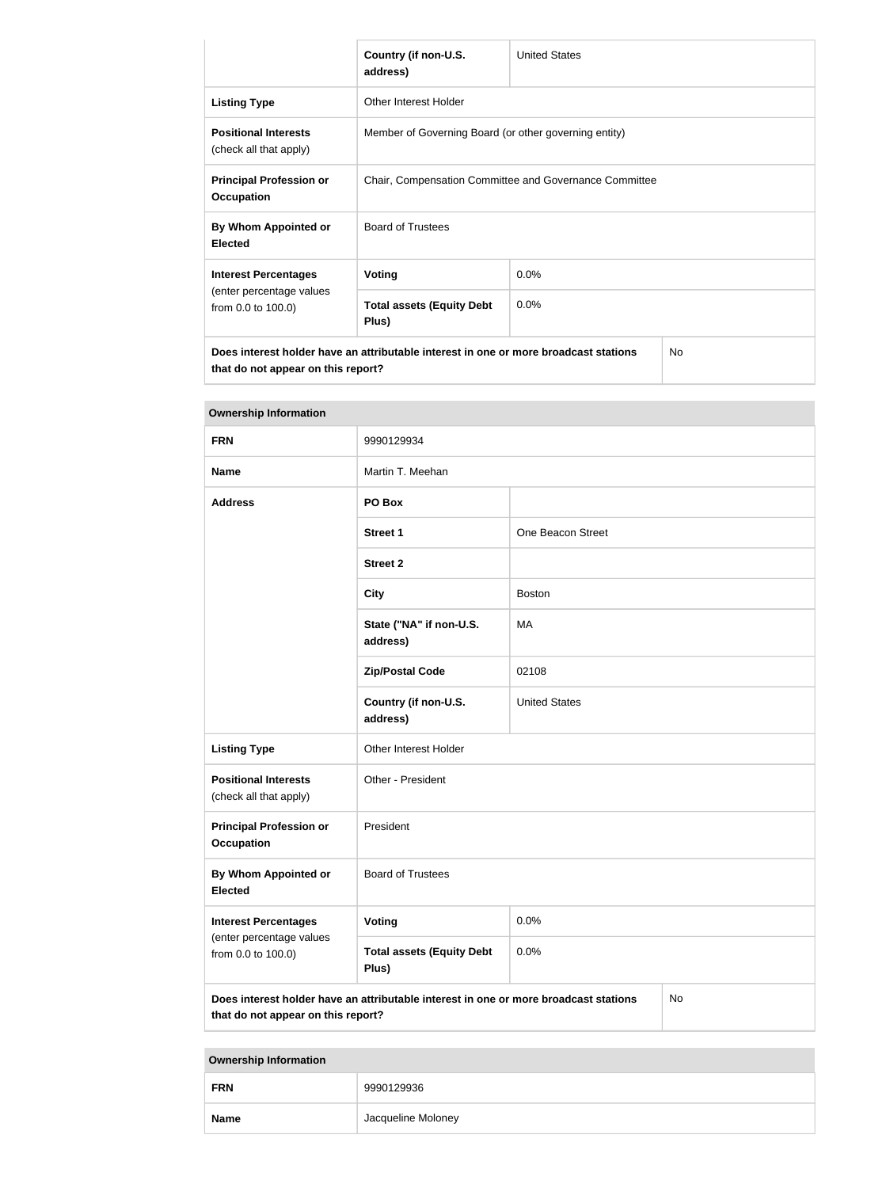|                                                                                                                            | Country (if non-U.S.<br>address)                       | <b>United States</b> |  |  |
|----------------------------------------------------------------------------------------------------------------------------|--------------------------------------------------------|----------------------|--|--|
| <b>Listing Type</b>                                                                                                        | Other Interest Holder                                  |                      |  |  |
| <b>Positional Interests</b><br>(check all that apply)                                                                      | Member of Governing Board (or other governing entity)  |                      |  |  |
| <b>Principal Profession or</b><br><b>Occupation</b>                                                                        | Chair, Compensation Committee and Governance Committee |                      |  |  |
| By Whom Appointed or<br><b>Elected</b>                                                                                     | <b>Board of Trustees</b>                               |                      |  |  |
| <b>Interest Percentages</b>                                                                                                | <b>Voting</b>                                          | 0.0%                 |  |  |
| (enter percentage values<br>from 0.0 to 100.0)                                                                             | <b>Total assets (Equity Debt</b><br>0.0%<br>Plus)      |                      |  |  |
| Does interest holder have an attributable interest in one or more broadcast stations<br>that do not appear on this report? |                                                        | <b>No</b>            |  |  |

| <b>Ownership Information</b>                                                                                                     |                                           |                      |  |
|----------------------------------------------------------------------------------------------------------------------------------|-------------------------------------------|----------------------|--|
| <b>FRN</b>                                                                                                                       | 9990129934                                |                      |  |
| <b>Name</b>                                                                                                                      | Martin T. Meehan                          |                      |  |
| <b>Address</b>                                                                                                                   | PO Box                                    |                      |  |
|                                                                                                                                  | <b>Street 1</b>                           | One Beacon Street    |  |
|                                                                                                                                  | <b>Street 2</b>                           |                      |  |
|                                                                                                                                  | <b>City</b>                               | <b>Boston</b>        |  |
|                                                                                                                                  | State ("NA" if non-U.S.<br>address)       | MA                   |  |
|                                                                                                                                  | <b>Zip/Postal Code</b>                    | 02108                |  |
|                                                                                                                                  | Country (if non-U.S.<br>address)          | <b>United States</b> |  |
| <b>Listing Type</b>                                                                                                              | Other Interest Holder                     |                      |  |
| <b>Positional Interests</b><br>(check all that apply)                                                                            | Other - President                         |                      |  |
| <b>Principal Profession or</b><br><b>Occupation</b>                                                                              | President                                 |                      |  |
| By Whom Appointed or<br><b>Elected</b>                                                                                           | <b>Board of Trustees</b>                  |                      |  |
| <b>Interest Percentages</b>                                                                                                      | <b>Voting</b>                             | 0.0%                 |  |
| (enter percentage values<br>from 0.0 to 100.0)                                                                                   | <b>Total assets (Equity Debt</b><br>Plus) | 0.0%                 |  |
| Does interest holder have an attributable interest in one or more broadcast stations<br>No<br>that do not appear on this report? |                                           |                      |  |

**Ownership Information FRN** 9990129936 **Name Name Jacqueline Moloney**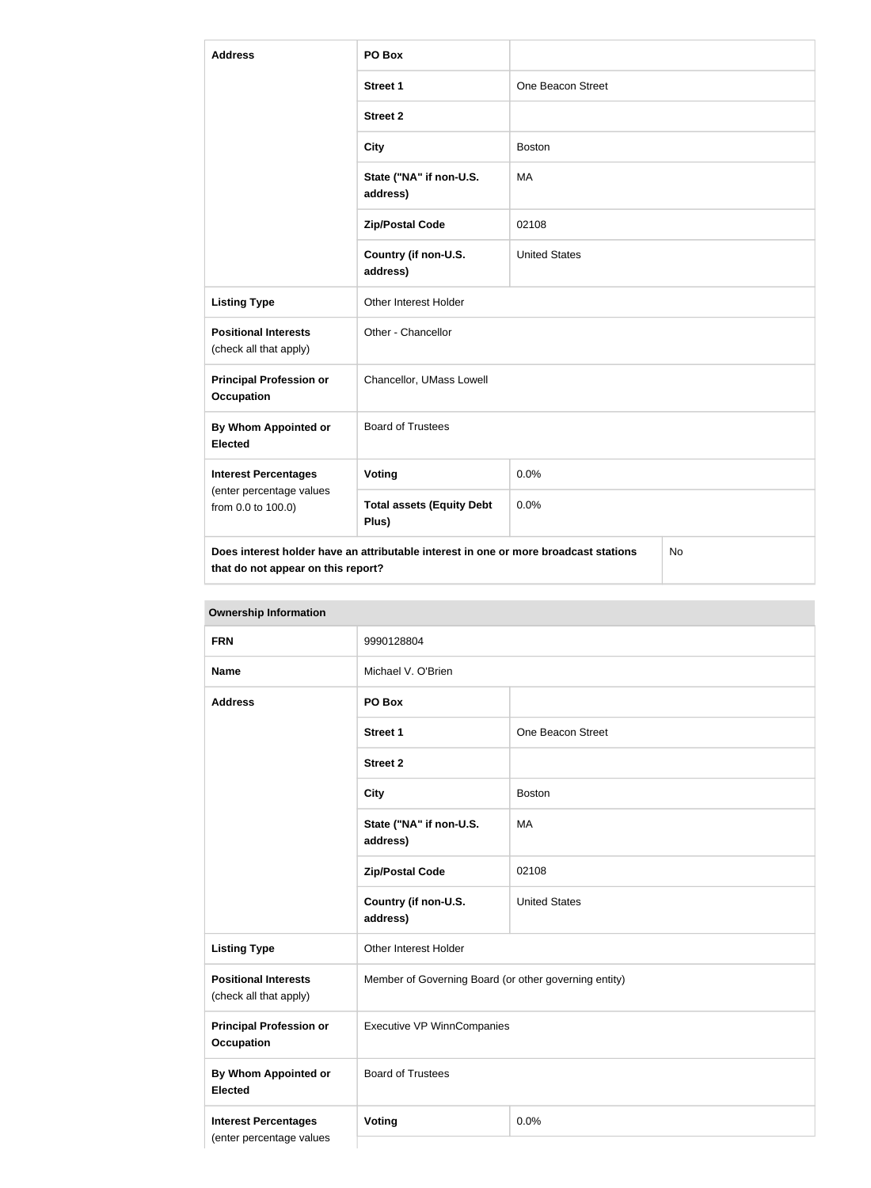| <b>Address</b>                                                                | PO Box                                                                               |                      |  |
|-------------------------------------------------------------------------------|--------------------------------------------------------------------------------------|----------------------|--|
|                                                                               | <b>Street 1</b>                                                                      | One Beacon Street    |  |
|                                                                               | <b>Street 2</b>                                                                      |                      |  |
|                                                                               | <b>City</b>                                                                          | <b>Boston</b>        |  |
|                                                                               | State ("NA" if non-U.S.<br>address)                                                  | <b>MA</b>            |  |
|                                                                               | <b>Zip/Postal Code</b>                                                               | 02108                |  |
|                                                                               | Country (if non-U.S.<br>address)                                                     | <b>United States</b> |  |
| <b>Listing Type</b>                                                           | Other Interest Holder                                                                |                      |  |
| <b>Positional Interests</b><br>(check all that apply)                         | Other - Chancellor                                                                   |                      |  |
| <b>Principal Profession or</b><br><b>Occupation</b>                           | Chancellor, UMass Lowell                                                             |                      |  |
| <b>By Whom Appointed or</b><br><b>Elected</b>                                 | <b>Board of Trustees</b>                                                             |                      |  |
| <b>Interest Percentages</b><br>(enter percentage values<br>from 0.0 to 100.0) | Voting                                                                               | 0.0%                 |  |
|                                                                               | <b>Total assets (Equity Debt</b><br>Plus)                                            | 0.0%                 |  |
| that do not appear on this report?                                            | Does interest holder have an attributable interest in one or more broadcast stations | <b>No</b>            |  |

| <b>OWHERSHIP INTO HIGHON</b>                            |                                                       |                      |  |
|---------------------------------------------------------|-------------------------------------------------------|----------------------|--|
| <b>FRN</b>                                              | 9990128804                                            |                      |  |
| <b>Name</b>                                             | Michael V. O'Brien                                    |                      |  |
| <b>Address</b>                                          | PO Box                                                |                      |  |
|                                                         | <b>Street 1</b>                                       | One Beacon Street    |  |
|                                                         | <b>Street 2</b>                                       |                      |  |
|                                                         | <b>City</b>                                           | <b>Boston</b>        |  |
|                                                         | State ("NA" if non-U.S.<br>address)                   | MA                   |  |
|                                                         | <b>Zip/Postal Code</b>                                | 02108                |  |
|                                                         | Country (if non-U.S.<br>address)                      | <b>United States</b> |  |
| <b>Listing Type</b>                                     | Other Interest Holder                                 |                      |  |
| <b>Positional Interests</b><br>(check all that apply)   | Member of Governing Board (or other governing entity) |                      |  |
| <b>Principal Profession or</b><br><b>Occupation</b>     | <b>Executive VP WinnCompanies</b>                     |                      |  |
| <b>By Whom Appointed or</b><br><b>Elected</b>           | <b>Board of Trustees</b>                              |                      |  |
| <b>Interest Percentages</b><br>(enter percentage values | Voting                                                | 0.0%                 |  |
|                                                         |                                                       |                      |  |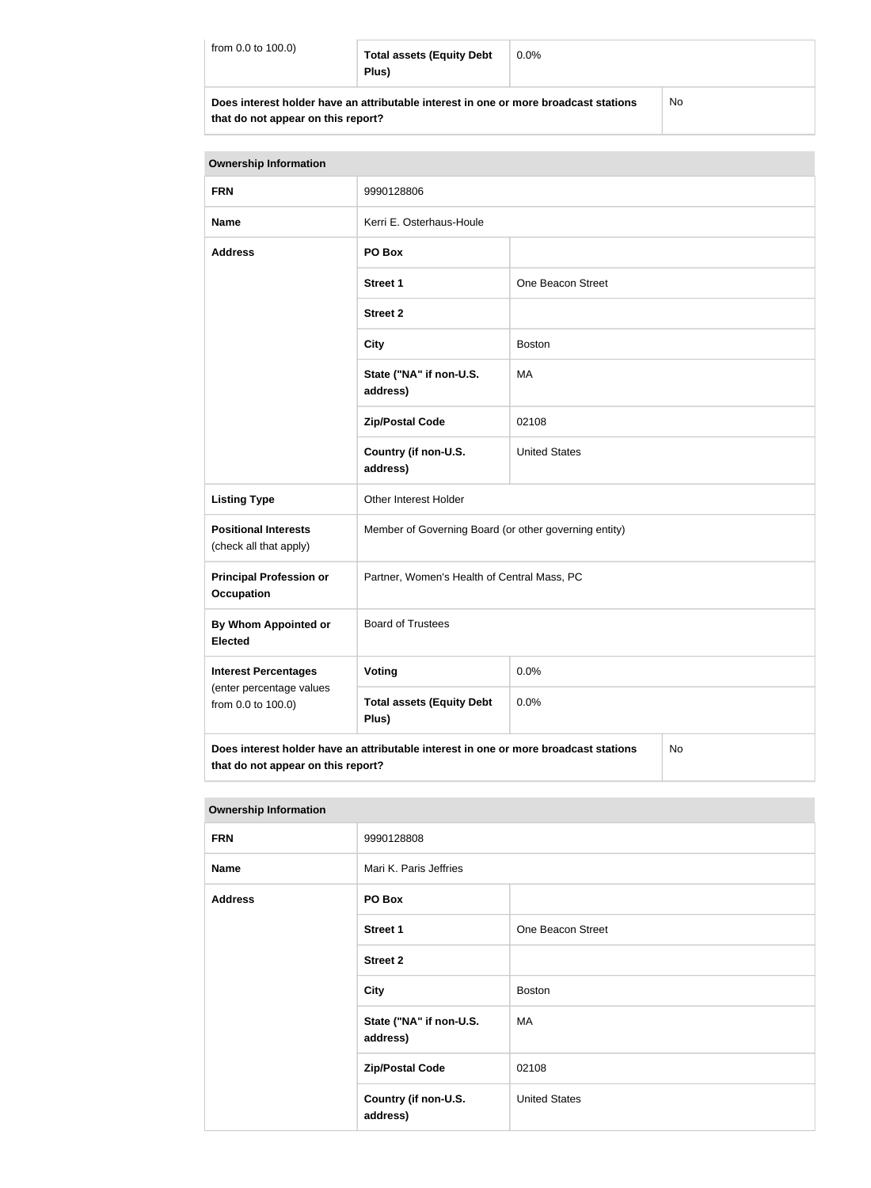| from 0.0 to 100.0)                                                                   | <b>Total assets (Equity Debt</b><br>Plus) | $0.0\%$ |    |
|--------------------------------------------------------------------------------------|-------------------------------------------|---------|----|
| Does interest holder have an attributable interest in one or more broadcast stations |                                           |         | No |

**that do not appear on this report?**

| <b>Ownership Information</b>                                                                                                            |                                                       |                      |  |
|-----------------------------------------------------------------------------------------------------------------------------------------|-------------------------------------------------------|----------------------|--|
| <b>FRN</b>                                                                                                                              | 9990128806                                            |                      |  |
| <b>Name</b>                                                                                                                             | Kerri E. Osterhaus-Houle                              |                      |  |
| <b>Address</b>                                                                                                                          | PO Box                                                |                      |  |
|                                                                                                                                         | <b>Street 1</b>                                       | One Beacon Street    |  |
|                                                                                                                                         | <b>Street 2</b>                                       |                      |  |
|                                                                                                                                         | <b>City</b>                                           | <b>Boston</b>        |  |
|                                                                                                                                         | State ("NA" if non-U.S.<br>address)                   | МA                   |  |
|                                                                                                                                         | <b>Zip/Postal Code</b>                                | 02108                |  |
|                                                                                                                                         | Country (if non-U.S.<br>address)                      | <b>United States</b> |  |
| <b>Listing Type</b>                                                                                                                     | Other Interest Holder                                 |                      |  |
| <b>Positional Interests</b><br>(check all that apply)                                                                                   | Member of Governing Board (or other governing entity) |                      |  |
| <b>Principal Profession or</b><br><b>Occupation</b>                                                                                     | Partner, Women's Health of Central Mass, PC           |                      |  |
| By Whom Appointed or<br><b>Elected</b>                                                                                                  | <b>Board of Trustees</b>                              |                      |  |
| <b>Interest Percentages</b>                                                                                                             | Voting                                                | 0.0%                 |  |
| (enter percentage values<br>from 0.0 to 100.0)                                                                                          | <b>Total assets (Equity Debt</b><br>Plus)             | 0.0%                 |  |
| Does interest holder have an attributable interest in one or more broadcast stations<br><b>No</b><br>that do not appear on this report? |                                                       |                      |  |

| <b>Ownership Information</b> |                                     |                      |  |
|------------------------------|-------------------------------------|----------------------|--|
| <b>FRN</b>                   | 9990128808                          |                      |  |
| <b>Name</b>                  | Mari K. Paris Jeffries              |                      |  |
| <b>Address</b>               | PO Box                              |                      |  |
|                              | <b>Street 1</b>                     | One Beacon Street    |  |
|                              | <b>Street 2</b>                     |                      |  |
|                              | <b>City</b>                         | <b>Boston</b>        |  |
|                              | State ("NA" if non-U.S.<br>address) | МA                   |  |
|                              | <b>Zip/Postal Code</b>              | 02108                |  |
|                              | Country (if non-U.S.<br>address)    | <b>United States</b> |  |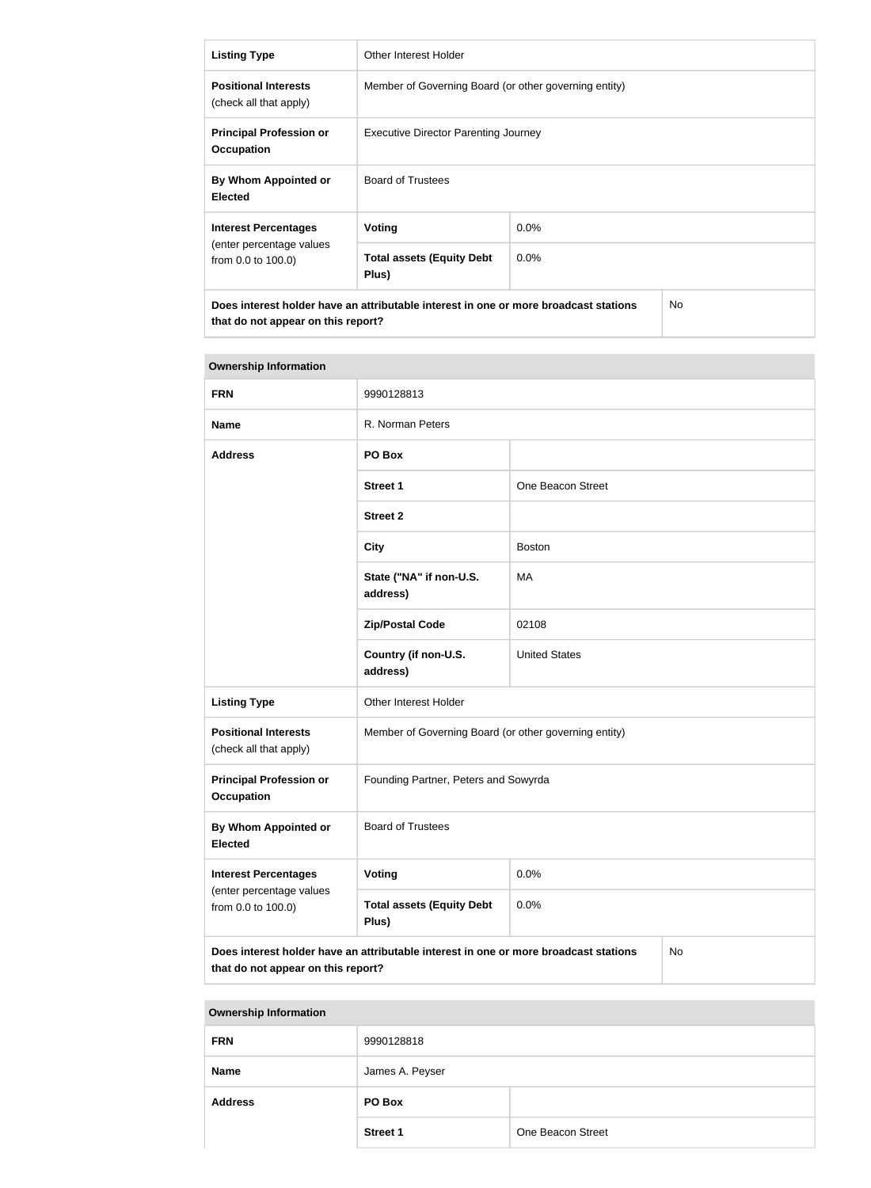| <b>Listing Type</b>                                                                                                               | Other Interest Holder                                 |         |  |
|-----------------------------------------------------------------------------------------------------------------------------------|-------------------------------------------------------|---------|--|
| <b>Positional Interests</b><br>(check all that apply)                                                                             | Member of Governing Board (or other governing entity) |         |  |
| <b>Principal Profession or</b><br><b>Occupation</b>                                                                               | <b>Executive Director Parenting Journey</b>           |         |  |
| By Whom Appointed or<br><b>Elected</b>                                                                                            | <b>Board of Trustees</b>                              |         |  |
| <b>Interest Percentages</b>                                                                                                       | Voting<br>$0.0\%$                                     |         |  |
| (enter percentage values<br>from 0.0 to 100.0)                                                                                    | <b>Total assets (Equity Debt</b><br>Plus)             | $0.0\%$ |  |
| Does interest holder have an attributable interest in one or more broadcast stations<br>No.<br>that do not appear on this report? |                                                       |         |  |

| <b>Ownership Information</b>                                                                                                            |                                                       |                      |  |
|-----------------------------------------------------------------------------------------------------------------------------------------|-------------------------------------------------------|----------------------|--|
| <b>FRN</b>                                                                                                                              | 9990128813                                            |                      |  |
| <b>Name</b>                                                                                                                             | R. Norman Peters                                      |                      |  |
| <b>Address</b>                                                                                                                          | PO Box                                                |                      |  |
|                                                                                                                                         | <b>Street 1</b>                                       | One Beacon Street    |  |
|                                                                                                                                         | <b>Street 2</b>                                       |                      |  |
|                                                                                                                                         | <b>City</b>                                           | <b>Boston</b>        |  |
|                                                                                                                                         | State ("NA" if non-U.S.<br>address)                   | MA                   |  |
|                                                                                                                                         | <b>Zip/Postal Code</b>                                | 02108                |  |
|                                                                                                                                         | Country (if non-U.S.<br>address)                      | <b>United States</b> |  |
| <b>Listing Type</b>                                                                                                                     | Other Interest Holder                                 |                      |  |
| <b>Positional Interests</b><br>(check all that apply)                                                                                   | Member of Governing Board (or other governing entity) |                      |  |
| <b>Principal Profession or</b><br><b>Occupation</b>                                                                                     | Founding Partner, Peters and Sowyrda                  |                      |  |
| By Whom Appointed or<br><b>Elected</b>                                                                                                  | <b>Board of Trustees</b>                              |                      |  |
| <b>Interest Percentages</b>                                                                                                             | Voting                                                | 0.0%                 |  |
| (enter percentage values<br>from 0.0 to 100.0)                                                                                          | <b>Total assets (Equity Debt</b><br>Plus)             | 0.0%                 |  |
| Does interest holder have an attributable interest in one or more broadcast stations<br><b>No</b><br>that do not appear on this report? |                                                       |                      |  |

| <b>Ownership Information</b> |                 |                   |  |
|------------------------------|-----------------|-------------------|--|
| <b>FRN</b>                   | 9990128818      |                   |  |
| <b>Name</b>                  | James A. Peyser |                   |  |
| <b>Address</b>               | PO Box          |                   |  |
|                              | <b>Street 1</b> | One Beacon Street |  |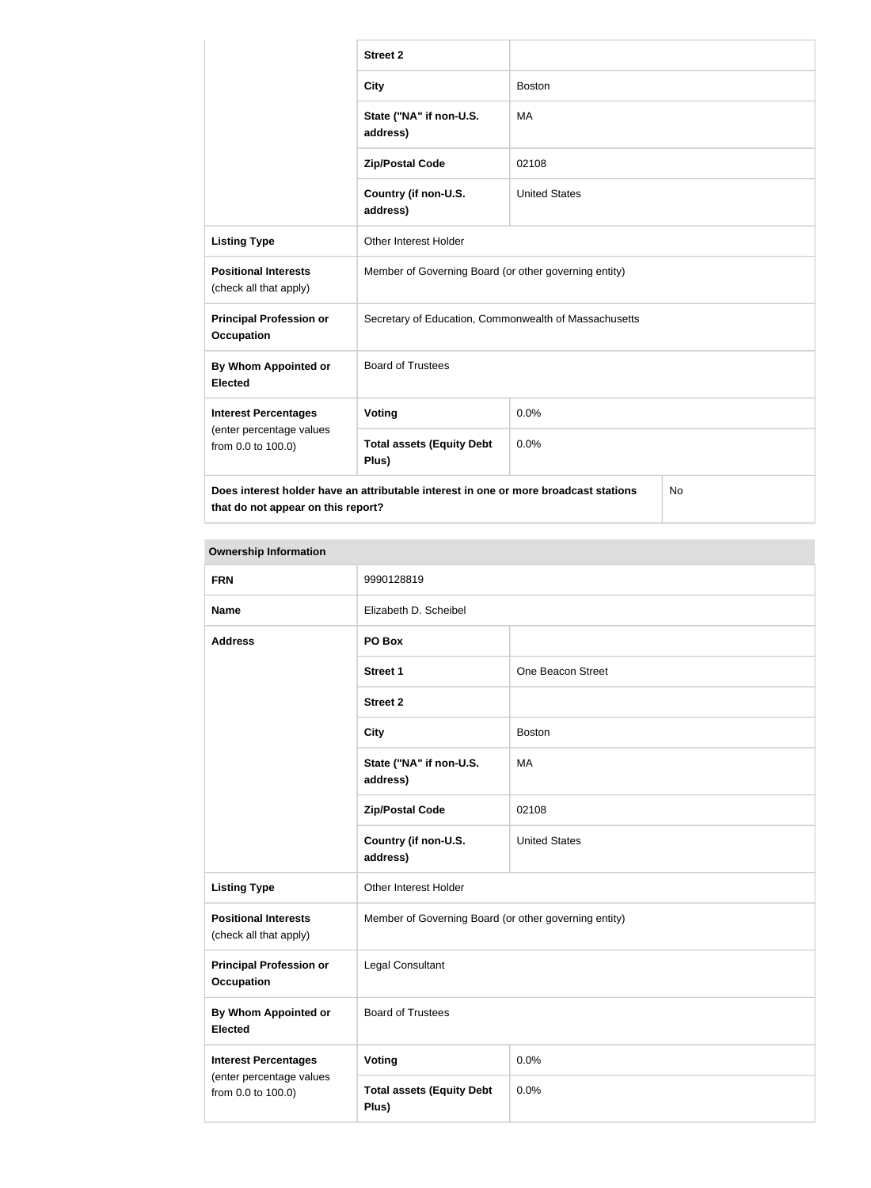|                                                                                                                                         | <b>Street 2</b>                                       |                      |  |
|-----------------------------------------------------------------------------------------------------------------------------------------|-------------------------------------------------------|----------------------|--|
|                                                                                                                                         | <b>City</b>                                           | <b>Boston</b>        |  |
|                                                                                                                                         | State ("NA" if non-U.S.<br>address)                   | MA                   |  |
|                                                                                                                                         | <b>Zip/Postal Code</b>                                | 02108                |  |
|                                                                                                                                         | Country (if non-U.S.<br>address)                      | <b>United States</b> |  |
| <b>Listing Type</b>                                                                                                                     | Other Interest Holder                                 |                      |  |
| <b>Positional Interests</b><br>(check all that apply)                                                                                   | Member of Governing Board (or other governing entity) |                      |  |
| <b>Principal Profession or</b><br><b>Occupation</b>                                                                                     | Secretary of Education, Commonwealth of Massachusetts |                      |  |
| By Whom Appointed or<br><b>Elected</b>                                                                                                  | <b>Board of Trustees</b>                              |                      |  |
| <b>Interest Percentages</b>                                                                                                             | <b>Voting</b>                                         | 0.0%                 |  |
| (enter percentage values<br>from 0.0 to 100.0)                                                                                          | <b>Total assets (Equity Debt</b><br>Plus)             | 0.0%                 |  |
| Does interest holder have an attributable interest in one or more broadcast stations<br><b>No</b><br>that do not appear on this report? |                                                       |                      |  |

| _ |  |
|---|--|

| <b>Ownership Information</b>                          |                                                       |                      |  |
|-------------------------------------------------------|-------------------------------------------------------|----------------------|--|
| <b>FRN</b>                                            | 9990128819                                            |                      |  |
| <b>Name</b>                                           | Elizabeth D. Scheibel                                 |                      |  |
| <b>Address</b>                                        | PO Box                                                |                      |  |
|                                                       | <b>Street 1</b>                                       | One Beacon Street    |  |
|                                                       | <b>Street 2</b>                                       |                      |  |
|                                                       | <b>City</b>                                           | <b>Boston</b>        |  |
|                                                       | State ("NA" if non-U.S.<br>address)                   | MA                   |  |
|                                                       | <b>Zip/Postal Code</b>                                | 02108                |  |
|                                                       | Country (if non-U.S.<br>address)                      | <b>United States</b> |  |
| <b>Listing Type</b>                                   | Other Interest Holder                                 |                      |  |
| <b>Positional Interests</b><br>(check all that apply) | Member of Governing Board (or other governing entity) |                      |  |
| <b>Principal Profession or</b><br><b>Occupation</b>   | Legal Consultant                                      |                      |  |
| <b>By Whom Appointed or</b><br><b>Elected</b>         | <b>Board of Trustees</b>                              |                      |  |
| <b>Interest Percentages</b>                           | <b>Voting</b>                                         | 0.0%                 |  |
| (enter percentage values<br>from 0.0 to 100.0)        | <b>Total assets (Equity Debt</b><br>Plus)             | 0.0%                 |  |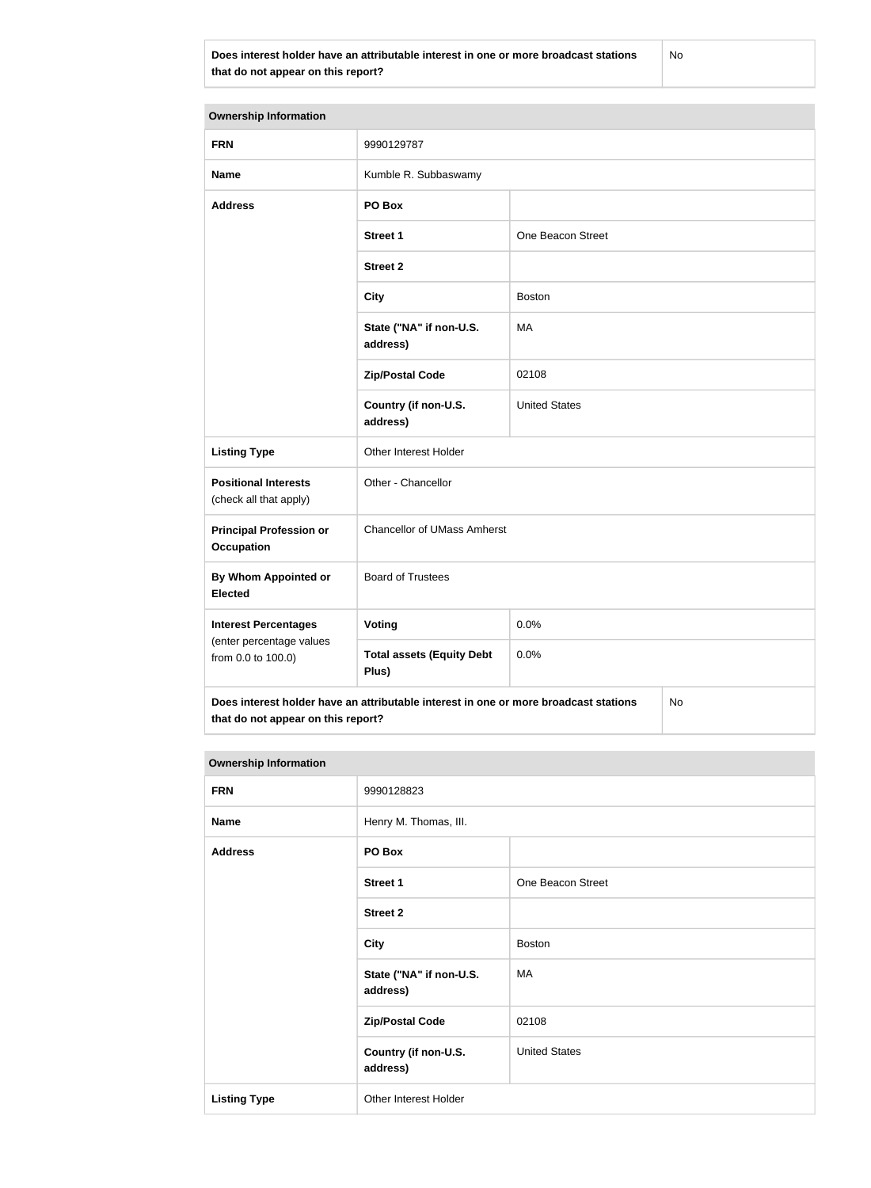**Does interest holder have an attributable interest in one or more broadcast stations that do not appear on this report?**

No

| <b>Ownership Information</b>                                                                                                     |                                           |                      |  |  |
|----------------------------------------------------------------------------------------------------------------------------------|-------------------------------------------|----------------------|--|--|
| <b>FRN</b>                                                                                                                       | 9990129787                                |                      |  |  |
|                                                                                                                                  |                                           |                      |  |  |
| <b>Name</b>                                                                                                                      | Kumble R. Subbaswamy                      |                      |  |  |
| <b>Address</b>                                                                                                                   | PO Box                                    |                      |  |  |
|                                                                                                                                  | <b>Street 1</b>                           | One Beacon Street    |  |  |
|                                                                                                                                  | <b>Street 2</b>                           |                      |  |  |
|                                                                                                                                  | <b>City</b>                               | <b>Boston</b>        |  |  |
|                                                                                                                                  | State ("NA" if non-U.S.<br>address)       | MA                   |  |  |
|                                                                                                                                  | <b>Zip/Postal Code</b>                    | 02108                |  |  |
|                                                                                                                                  | Country (if non-U.S.<br>address)          | <b>United States</b> |  |  |
| <b>Listing Type</b>                                                                                                              | Other Interest Holder                     |                      |  |  |
| <b>Positional Interests</b><br>(check all that apply)                                                                            | Other - Chancellor                        |                      |  |  |
| <b>Principal Profession or</b><br><b>Occupation</b>                                                                              | <b>Chancellor of UMass Amherst</b>        |                      |  |  |
| <b>By Whom Appointed or</b><br><b>Elected</b>                                                                                    | <b>Board of Trustees</b>                  |                      |  |  |
| <b>Interest Percentages</b>                                                                                                      | <b>Voting</b>                             | 0.0%                 |  |  |
| (enter percentage values<br>from 0.0 to 100.0)                                                                                   | <b>Total assets (Equity Debt</b><br>Plus) | 0.0%                 |  |  |
| Does interest holder have an attributable interest in one or more broadcast stations<br>No<br>that do not appear on this report? |                                           |                      |  |  |

| <b>Ownership Information</b> |                                     |                      |  |
|------------------------------|-------------------------------------|----------------------|--|
| <b>FRN</b>                   | 9990128823                          |                      |  |
| <b>Name</b>                  | Henry M. Thomas, III.               |                      |  |
| <b>Address</b>               | PO Box                              |                      |  |
|                              | <b>Street 1</b>                     | One Beacon Street    |  |
|                              | <b>Street 2</b>                     |                      |  |
|                              | <b>City</b>                         | <b>Boston</b>        |  |
|                              | State ("NA" if non-U.S.<br>address) | MA                   |  |
|                              | <b>Zip/Postal Code</b>              | 02108                |  |
|                              | Country (if non-U.S.<br>address)    | <b>United States</b> |  |
| <b>Listing Type</b>          | Other Interest Holder               |                      |  |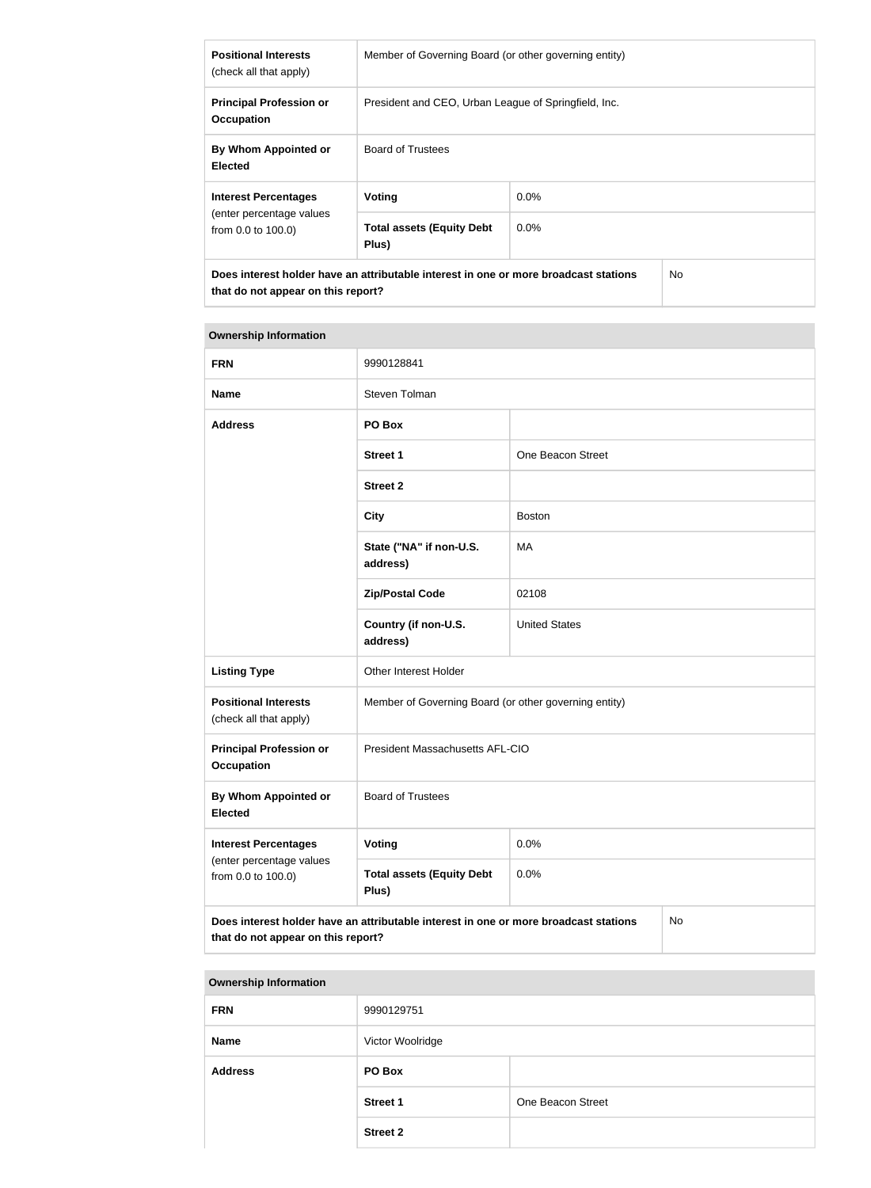| <b>Positional Interests</b><br>(check all that apply)                                                                                        | Member of Governing Board (or other governing entity) |         |  |
|----------------------------------------------------------------------------------------------------------------------------------------------|-------------------------------------------------------|---------|--|
| <b>Principal Profession or</b><br><b>Occupation</b>                                                                                          | President and CEO, Urban League of Springfield, Inc.  |         |  |
| By Whom Appointed or<br><b>Elected</b>                                                                                                       | <b>Board of Trustees</b>                              |         |  |
| <b>Interest Percentages</b>                                                                                                                  | Voting                                                | $0.0\%$ |  |
| (enter percentage values<br>from 0.0 to 100.0)                                                                                               | <b>Total assets (Equity Debt</b><br>Plus)             | $0.0\%$ |  |
| Does interest holder have an attributable interest in one or more broadcast stations<br>N <sub>o</sub><br>that do not appear on this report? |                                                       |         |  |

| <b>FRN</b>                                            | 9990128841                                                                           |                      |    |
|-------------------------------------------------------|--------------------------------------------------------------------------------------|----------------------|----|
| <b>Name</b>                                           | Steven Tolman                                                                        |                      |    |
| <b>Address</b>                                        | PO Box                                                                               |                      |    |
|                                                       | <b>Street 1</b>                                                                      | One Beacon Street    |    |
|                                                       | <b>Street 2</b>                                                                      |                      |    |
|                                                       | <b>City</b>                                                                          | <b>Boston</b>        |    |
|                                                       | State ("NA" if non-U.S.<br>address)                                                  | <b>MA</b>            |    |
|                                                       | <b>Zip/Postal Code</b>                                                               | 02108                |    |
|                                                       | Country (if non-U.S.<br>address)                                                     | <b>United States</b> |    |
| <b>Listing Type</b>                                   | Other Interest Holder                                                                |                      |    |
| <b>Positional Interests</b><br>(check all that apply) | Member of Governing Board (or other governing entity)                                |                      |    |
| <b>Principal Profession or</b><br><b>Occupation</b>   | President Massachusetts AFL-CIO                                                      |                      |    |
| By Whom Appointed or<br><b>Elected</b>                | <b>Board of Trustees</b>                                                             |                      |    |
| <b>Interest Percentages</b>                           | <b>Voting</b>                                                                        | 0.0%                 |    |
| (enter percentage values<br>from 0.0 to 100.0)        | <b>Total assets (Equity Debt</b><br>Plus)                                            | 0.0%                 |    |
| that do not appear on this report?                    | Does interest holder have an attributable interest in one or more broadcast stations |                      | No |

| . .            |                  |                   |
|----------------|------------------|-------------------|
| <b>FRN</b>     | 9990129751       |                   |
| <b>Name</b>    | Victor Woolridge |                   |
| <b>Address</b> | PO Box           |                   |
|                | <b>Street 1</b>  | One Beacon Street |
|                | <b>Street 2</b>  |                   |
|                |                  |                   |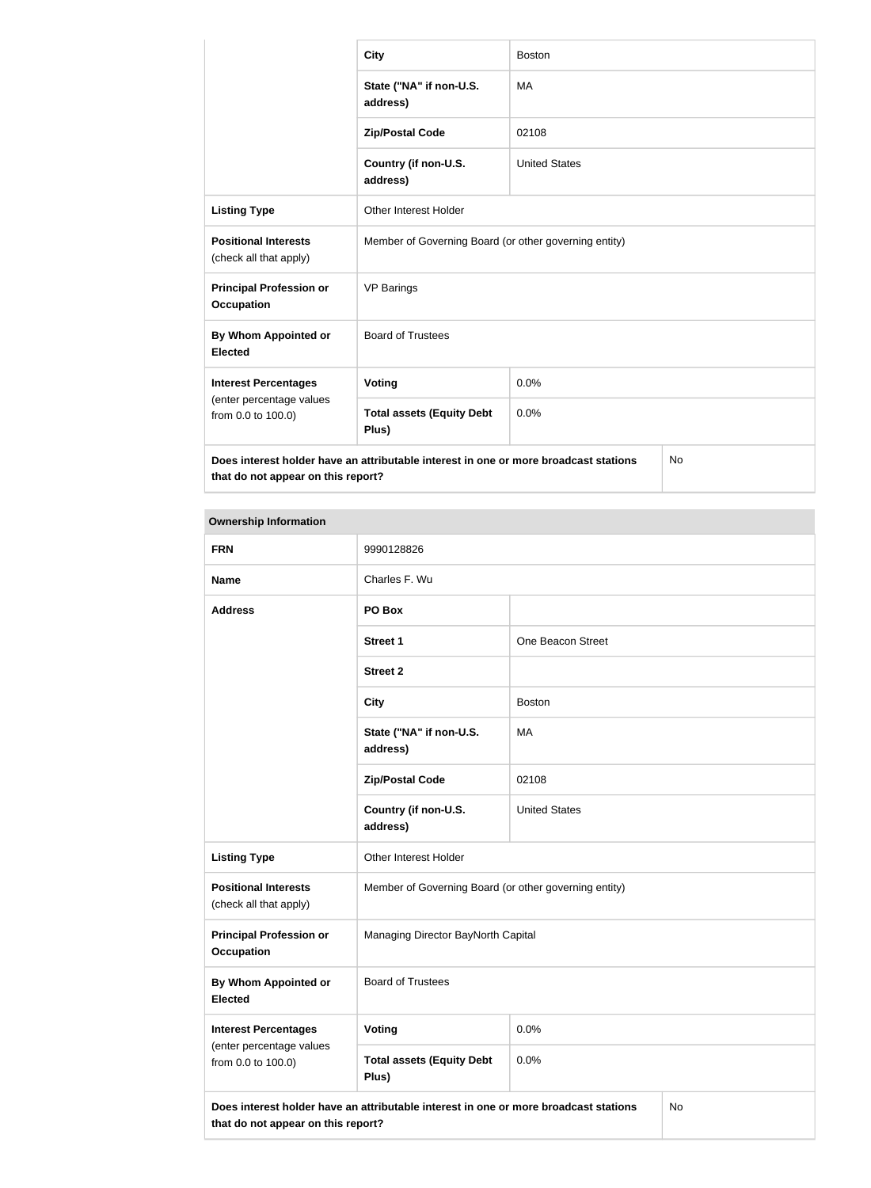|                                                       | <b>City</b>                                                                          | <b>Boston</b>        |           |
|-------------------------------------------------------|--------------------------------------------------------------------------------------|----------------------|-----------|
|                                                       | State ("NA" if non-U.S.<br>address)                                                  | <b>MA</b>            |           |
|                                                       | <b>Zip/Postal Code</b>                                                               | 02108                |           |
|                                                       | Country (if non-U.S.<br>address)                                                     | <b>United States</b> |           |
| <b>Listing Type</b>                                   | <b>Other Interest Holder</b>                                                         |                      |           |
| <b>Positional Interests</b><br>(check all that apply) | Member of Governing Board (or other governing entity)                                |                      |           |
| <b>Principal Profession or</b><br><b>Occupation</b>   | <b>VP Barings</b>                                                                    |                      |           |
| By Whom Appointed or<br><b>Elected</b>                | <b>Board of Trustees</b>                                                             |                      |           |
| <b>Interest Percentages</b>                           | Voting                                                                               | 0.0%                 |           |
| (enter percentage values<br>from 0.0 to 100.0)        | <b>Total assets (Equity Debt</b><br>Plus)                                            | 0.0%                 |           |
| that do not appear on this report?                    | Does interest holder have an attributable interest in one or more broadcast stations |                      | <b>No</b> |

| <b>FRN</b>                                            | 9990128826                                                                           |                      |    |
|-------------------------------------------------------|--------------------------------------------------------------------------------------|----------------------|----|
| <b>Name</b>                                           | Charles F. Wu                                                                        |                      |    |
| <b>Address</b>                                        | PO Box                                                                               |                      |    |
|                                                       | <b>Street 1</b>                                                                      | One Beacon Street    |    |
|                                                       | <b>Street 2</b>                                                                      |                      |    |
|                                                       | <b>City</b>                                                                          | <b>Boston</b>        |    |
|                                                       | State ("NA" if non-U.S.<br>address)                                                  | MA                   |    |
|                                                       | <b>Zip/Postal Code</b>                                                               | 02108                |    |
|                                                       | Country (if non-U.S.<br>address)                                                     | <b>United States</b> |    |
| <b>Listing Type</b>                                   | Other Interest Holder                                                                |                      |    |
| <b>Positional Interests</b><br>(check all that apply) | Member of Governing Board (or other governing entity)                                |                      |    |
| <b>Principal Profession or</b><br><b>Occupation</b>   | Managing Director BayNorth Capital                                                   |                      |    |
| <b>By Whom Appointed or</b><br><b>Elected</b>         | <b>Board of Trustees</b>                                                             |                      |    |
| <b>Interest Percentages</b>                           | <b>Voting</b>                                                                        | 0.0%                 |    |
| (enter percentage values<br>from 0.0 to 100.0)        | <b>Total assets (Equity Debt</b><br>Plus)                                            | 0.0%                 |    |
| that do not appear on this report?                    | Does interest holder have an attributable interest in one or more broadcast stations |                      | No |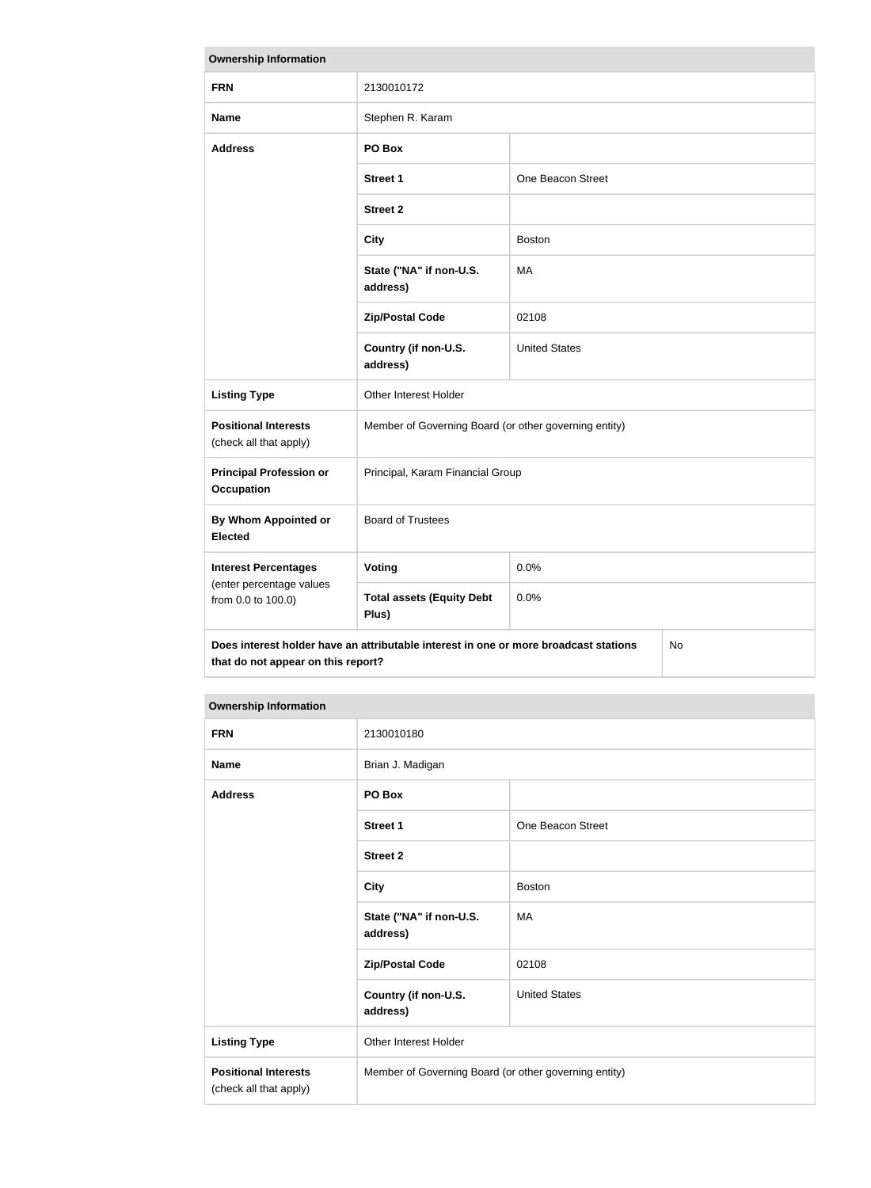| <b>Ownership Information</b>                                                                                                     |                                                       |                      |  |
|----------------------------------------------------------------------------------------------------------------------------------|-------------------------------------------------------|----------------------|--|
| <b>FRN</b>                                                                                                                       | 2130010172                                            |                      |  |
| <b>Name</b>                                                                                                                      | Stephen R. Karam                                      |                      |  |
| <b>Address</b>                                                                                                                   | PO Box                                                |                      |  |
|                                                                                                                                  | <b>Street 1</b>                                       | One Beacon Street    |  |
|                                                                                                                                  | <b>Street 2</b>                                       |                      |  |
|                                                                                                                                  | <b>City</b>                                           | <b>Boston</b>        |  |
|                                                                                                                                  | State ("NA" if non-U.S.<br>address)                   | MA                   |  |
|                                                                                                                                  | <b>Zip/Postal Code</b>                                | 02108                |  |
|                                                                                                                                  | Country (if non-U.S.<br>address)                      | <b>United States</b> |  |
| <b>Listing Type</b>                                                                                                              | Other Interest Holder                                 |                      |  |
| <b>Positional Interests</b><br>(check all that apply)                                                                            | Member of Governing Board (or other governing entity) |                      |  |
| <b>Principal Profession or</b><br><b>Occupation</b>                                                                              | Principal, Karam Financial Group                      |                      |  |
| <b>By Whom Appointed or</b><br><b>Elected</b>                                                                                    | <b>Board of Trustees</b>                              |                      |  |
| <b>Interest Percentages</b>                                                                                                      | Voting                                                | 0.0%                 |  |
| (enter percentage values<br>from 0.0 to 100.0)                                                                                   | <b>Total assets (Equity Debt</b><br>Plus)             | 0.0%                 |  |
| Does interest holder have an attributable interest in one or more broadcast stations<br>No<br>that do not appear on this report? |                                                       |                      |  |

| <b>FRN</b>                                            | 2130010180                                            |                      |
|-------------------------------------------------------|-------------------------------------------------------|----------------------|
| <b>Name</b>                                           | Brian J. Madigan                                      |                      |
| <b>Address</b>                                        | PO Box                                                |                      |
|                                                       | <b>Street 1</b>                                       | One Beacon Street    |
|                                                       | <b>Street 2</b>                                       |                      |
|                                                       | <b>City</b>                                           | <b>Boston</b>        |
|                                                       | State ("NA" if non-U.S.<br>address)                   | MA                   |
|                                                       | <b>Zip/Postal Code</b>                                | 02108                |
|                                                       | Country (if non-U.S.<br>address)                      | <b>United States</b> |
| <b>Listing Type</b>                                   | Other Interest Holder                                 |                      |
| <b>Positional Interests</b><br>(check all that apply) | Member of Governing Board (or other governing entity) |                      |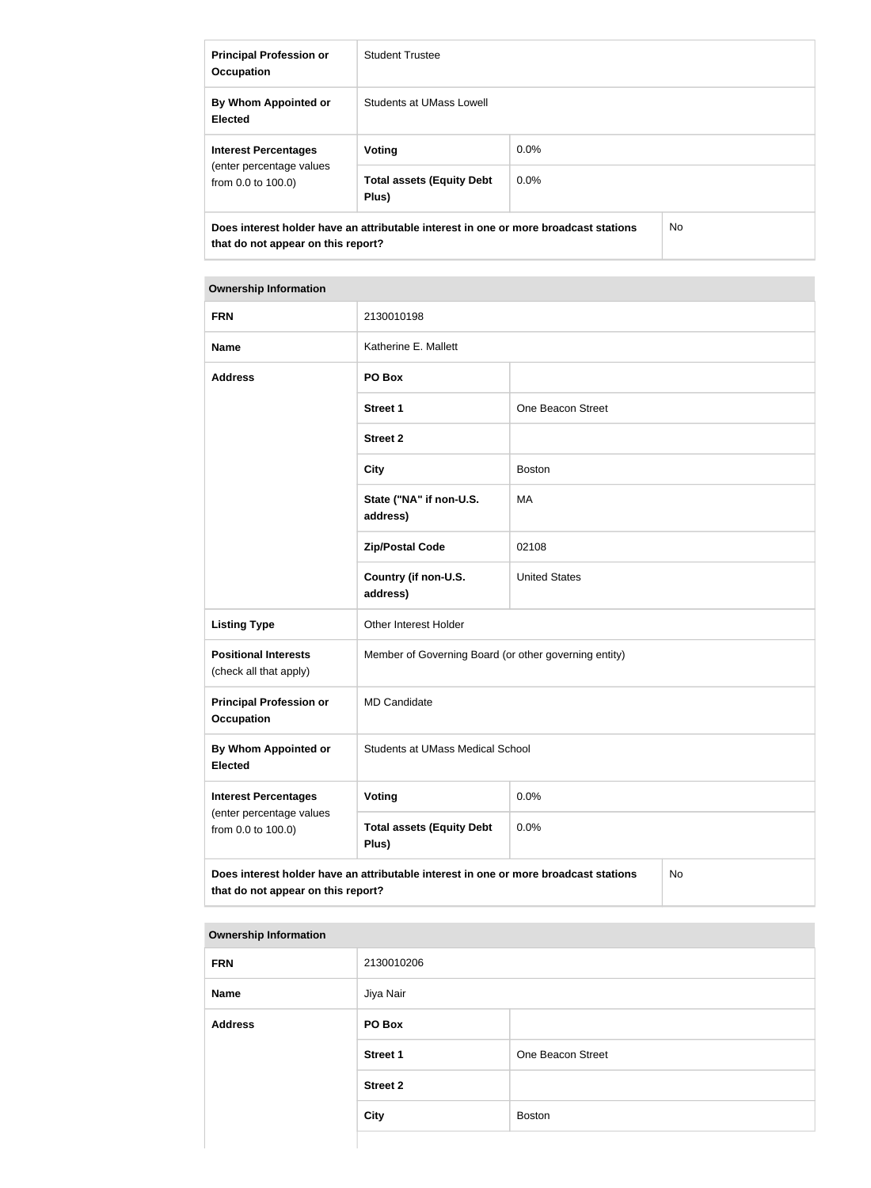| <b>Principal Profession or</b><br><b>Occupation</b>                                                                               | <b>Student Trustee</b>                    |         |  |
|-----------------------------------------------------------------------------------------------------------------------------------|-------------------------------------------|---------|--|
| By Whom Appointed or<br><b>Elected</b>                                                                                            | Students at UMass Lowell                  |         |  |
| <b>Interest Percentages</b>                                                                                                       | Voting                                    | $0.0\%$ |  |
| (enter percentage values<br>from 0.0 to 100.0)                                                                                    | <b>Total assets (Equity Debt</b><br>Plus) | $0.0\%$ |  |
| Does interest holder have an attributable interest in one or more broadcast stations<br>No.<br>that do not appear on this report? |                                           |         |  |

| <b>FRN</b>                                            | 2130010198                                                                           |                      |    |
|-------------------------------------------------------|--------------------------------------------------------------------------------------|----------------------|----|
| <b>Name</b>                                           | Katherine E. Mallett                                                                 |                      |    |
| <b>Address</b>                                        | PO Box                                                                               |                      |    |
|                                                       | <b>Street 1</b>                                                                      | One Beacon Street    |    |
|                                                       | <b>Street 2</b>                                                                      |                      |    |
|                                                       | <b>City</b>                                                                          | <b>Boston</b>        |    |
|                                                       | State ("NA" if non-U.S.<br>address)                                                  | MA                   |    |
|                                                       | <b>Zip/Postal Code</b>                                                               | 02108                |    |
|                                                       | Country (if non-U.S.<br>address)                                                     | <b>United States</b> |    |
| <b>Listing Type</b>                                   | Other Interest Holder                                                                |                      |    |
| <b>Positional Interests</b><br>(check all that apply) | Member of Governing Board (or other governing entity)                                |                      |    |
| <b>Principal Profession or</b><br><b>Occupation</b>   | <b>MD Candidate</b>                                                                  |                      |    |
| By Whom Appointed or<br><b>Elected</b>                | <b>Students at UMass Medical School</b>                                              |                      |    |
| <b>Interest Percentages</b>                           | <b>Voting</b>                                                                        | 0.0%                 |    |
| (enter percentage values<br>from 0.0 to 100.0)        | <b>Total assets (Equity Debt</b><br>Plus)                                            | 0.0%                 |    |
| that do not appear on this report?                    | Does interest holder have an attributable interest in one or more broadcast stations |                      | No |

| <b>FRN</b>     | 2130010206      |                   |
|----------------|-----------------|-------------------|
| <b>Name</b>    | Jiya Nair       |                   |
| <b>Address</b> | PO Box          |                   |
|                | <b>Street 1</b> | One Beacon Street |
|                | <b>Street 2</b> |                   |
|                | <b>City</b>     | <b>Boston</b>     |
|                |                 |                   |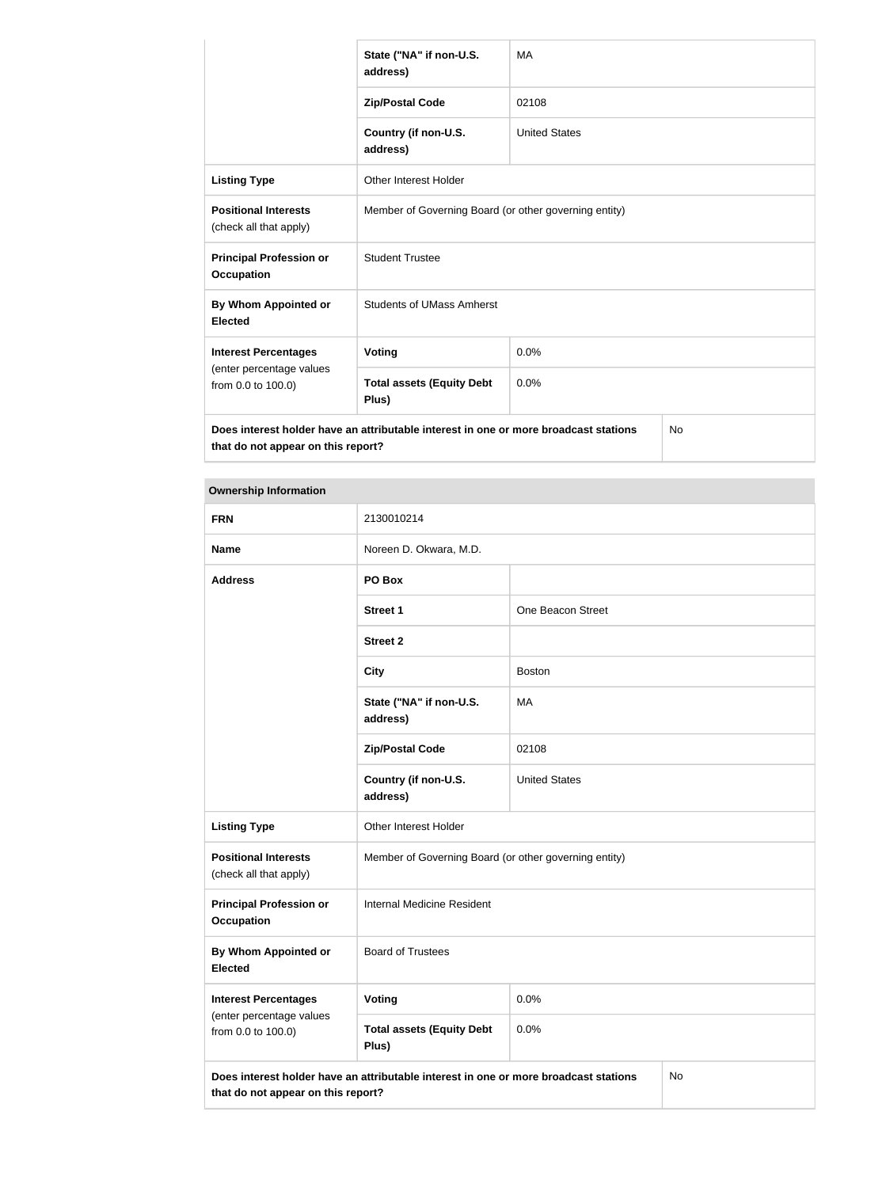|                                                       | State ("NA" if non-U.S.<br>address)                                                  | <b>MA</b>            |           |
|-------------------------------------------------------|--------------------------------------------------------------------------------------|----------------------|-----------|
|                                                       | <b>Zip/Postal Code</b>                                                               | 02108                |           |
|                                                       | Country (if non-U.S.<br>address)                                                     | <b>United States</b> |           |
| <b>Listing Type</b>                                   | <b>Other Interest Holder</b>                                                         |                      |           |
| <b>Positional Interests</b><br>(check all that apply) | Member of Governing Board (or other governing entity)                                |                      |           |
| <b>Principal Profession or</b><br><b>Occupation</b>   | <b>Student Trustee</b>                                                               |                      |           |
| By Whom Appointed or<br><b>Elected</b>                | <b>Students of UMass Amherst</b>                                                     |                      |           |
| <b>Interest Percentages</b>                           | Voting                                                                               | 0.0%                 |           |
| (enter percentage values<br>from 0.0 to 100.0)        | <b>Total assets (Equity Debt</b><br>Plus)                                            | 0.0%                 |           |
| that do not appear on this report?                    | Does interest holder have an attributable interest in one or more broadcast stations |                      | <b>No</b> |

| <b>FRN</b>                                                                                                                       | 2130010214                                            |                      |  |
|----------------------------------------------------------------------------------------------------------------------------------|-------------------------------------------------------|----------------------|--|
| <b>Name</b>                                                                                                                      | Noreen D. Okwara, M.D.                                |                      |  |
| <b>Address</b>                                                                                                                   | PO Box                                                |                      |  |
|                                                                                                                                  | <b>Street 1</b>                                       | One Beacon Street    |  |
|                                                                                                                                  | <b>Street 2</b>                                       |                      |  |
|                                                                                                                                  | <b>City</b>                                           | <b>Boston</b>        |  |
|                                                                                                                                  | State ("NA" if non-U.S.<br>address)                   | MA                   |  |
|                                                                                                                                  | <b>Zip/Postal Code</b>                                | 02108                |  |
|                                                                                                                                  | Country (if non-U.S.<br>address)                      | <b>United States</b> |  |
| <b>Listing Type</b>                                                                                                              | Other Interest Holder                                 |                      |  |
| <b>Positional Interests</b><br>(check all that apply)                                                                            | Member of Governing Board (or other governing entity) |                      |  |
| <b>Principal Profession or</b><br><b>Occupation</b>                                                                              | Internal Medicine Resident                            |                      |  |
| By Whom Appointed or<br><b>Elected</b>                                                                                           | <b>Board of Trustees</b>                              |                      |  |
| <b>Interest Percentages</b>                                                                                                      | <b>Voting</b>                                         | 0.0%                 |  |
| (enter percentage values<br>from 0.0 to 100.0)                                                                                   | <b>Total assets (Equity Debt</b><br>Plus)             | 0.0%                 |  |
| Does interest holder have an attributable interest in one or more broadcast stations<br>No<br>that do not appear on this report? |                                                       |                      |  |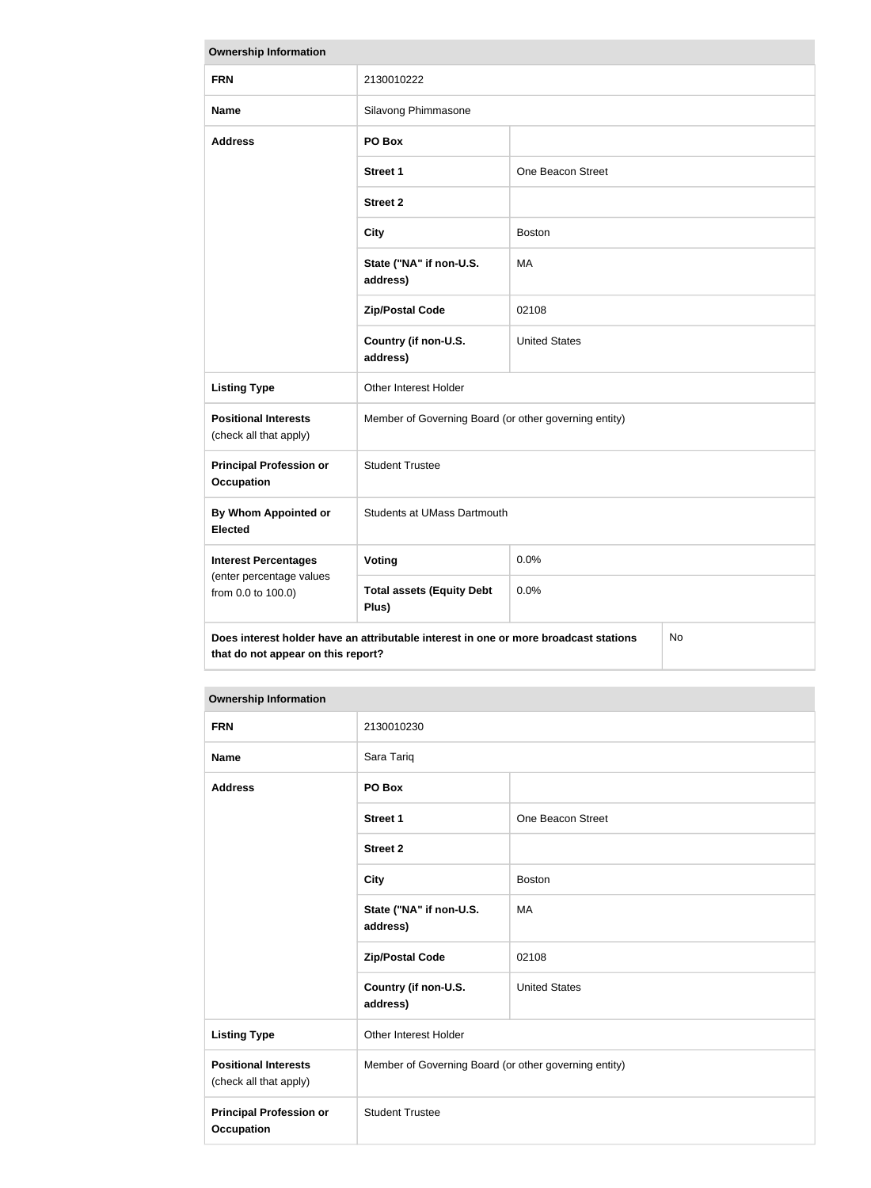| <b>Ownership Information</b>                                                                                                            |                                                       |                      |  |
|-----------------------------------------------------------------------------------------------------------------------------------------|-------------------------------------------------------|----------------------|--|
| <b>FRN</b>                                                                                                                              | 2130010222                                            |                      |  |
| <b>Name</b>                                                                                                                             | Silavong Phimmasone                                   |                      |  |
| <b>Address</b>                                                                                                                          | PO Box                                                |                      |  |
|                                                                                                                                         | <b>Street 1</b>                                       | One Beacon Street    |  |
|                                                                                                                                         | <b>Street 2</b>                                       |                      |  |
|                                                                                                                                         | <b>City</b>                                           | <b>Boston</b>        |  |
|                                                                                                                                         | State ("NA" if non-U.S.<br>address)                   | <b>MA</b>            |  |
|                                                                                                                                         | <b>Zip/Postal Code</b>                                | 02108                |  |
|                                                                                                                                         | Country (if non-U.S.<br>address)                      | <b>United States</b> |  |
| <b>Listing Type</b>                                                                                                                     | Other Interest Holder                                 |                      |  |
| <b>Positional Interests</b><br>(check all that apply)                                                                                   | Member of Governing Board (or other governing entity) |                      |  |
| <b>Principal Profession or</b><br><b>Occupation</b>                                                                                     | <b>Student Trustee</b>                                |                      |  |
| By Whom Appointed or<br><b>Elected</b>                                                                                                  | Students at UMass Dartmouth                           |                      |  |
| <b>Interest Percentages</b>                                                                                                             | Voting                                                | 0.0%                 |  |
| (enter percentage values<br>from 0.0 to 100.0)                                                                                          | <b>Total assets (Equity Debt</b><br>Plus)             | 0.0%                 |  |
| Does interest holder have an attributable interest in one or more broadcast stations<br><b>No</b><br>that do not appear on this report? |                                                       |                      |  |

| <b>FRN</b>                                            | 2130010230                                            |                      |
|-------------------------------------------------------|-------------------------------------------------------|----------------------|
| <b>Name</b>                                           | Sara Tariq                                            |                      |
| <b>Address</b>                                        | PO Box                                                |                      |
|                                                       | <b>Street 1</b>                                       | One Beacon Street    |
|                                                       | <b>Street 2</b>                                       |                      |
|                                                       | <b>City</b>                                           | <b>Boston</b>        |
|                                                       | State ("NA" if non-U.S.<br>address)                   | MA                   |
|                                                       | <b>Zip/Postal Code</b>                                | 02108                |
|                                                       | Country (if non-U.S.<br>address)                      | <b>United States</b> |
| <b>Listing Type</b>                                   | <b>Other Interest Holder</b>                          |                      |
| <b>Positional Interests</b><br>(check all that apply) | Member of Governing Board (or other governing entity) |                      |
| <b>Principal Profession or</b><br><b>Occupation</b>   | <b>Student Trustee</b>                                |                      |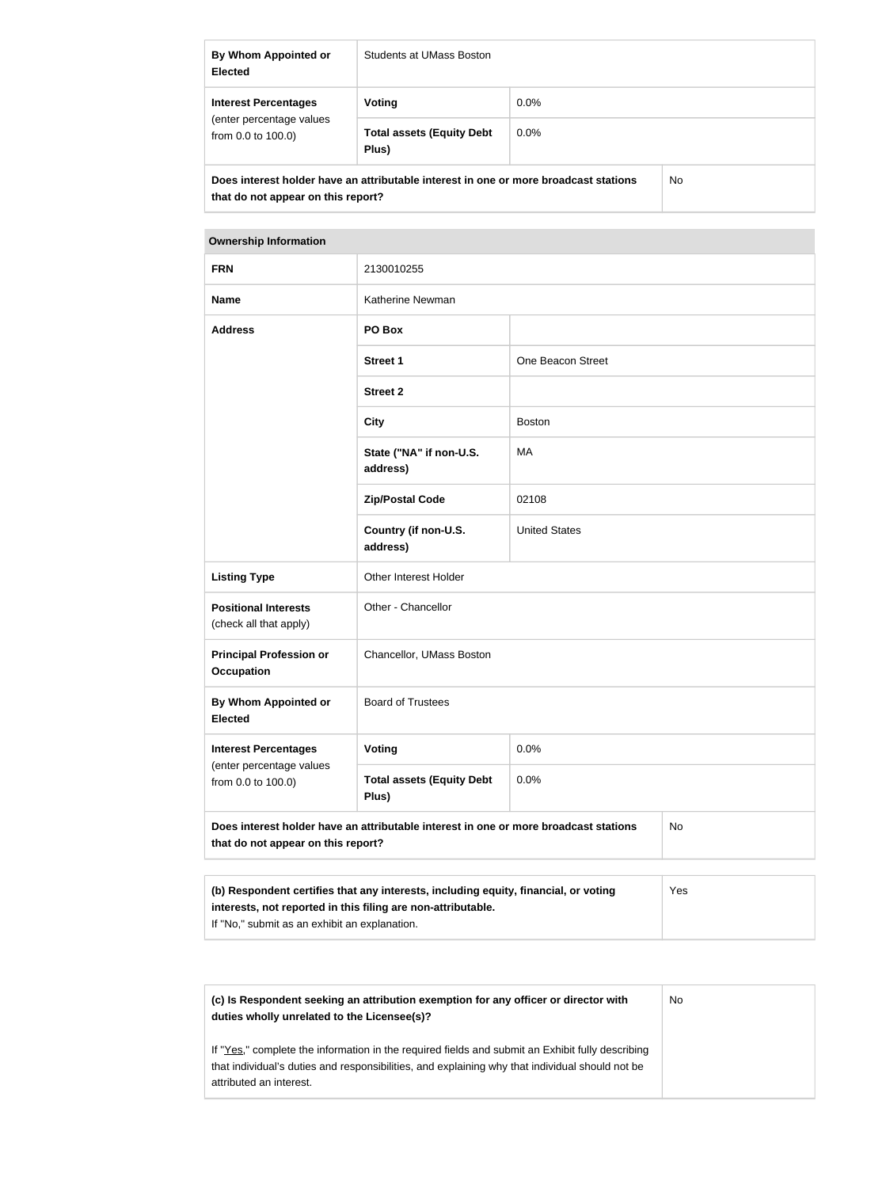| By Whom Appointed or<br><b>Elected</b>                                                                                     | Students at UMass Boston                  |         |  |
|----------------------------------------------------------------------------------------------------------------------------|-------------------------------------------|---------|--|
| <b>Interest Percentages</b><br>(enter percentage values<br>from $0.0$ to $100.0$ )                                         | Voting                                    | $0.0\%$ |  |
|                                                                                                                            | <b>Total assets (Equity Debt</b><br>Plus) | $0.0\%$ |  |
| Does interest holder have an attributable interest in one or more broadcast stations<br>that do not appear on this report? |                                           | No.     |  |

| <b>FRN</b>                                                                                                                       | 2130010255                                |                      |  |
|----------------------------------------------------------------------------------------------------------------------------------|-------------------------------------------|----------------------|--|
| <b>Name</b>                                                                                                                      | Katherine Newman                          |                      |  |
| <b>Address</b>                                                                                                                   | PO Box                                    |                      |  |
|                                                                                                                                  | <b>Street 1</b>                           | One Beacon Street    |  |
|                                                                                                                                  | <b>Street 2</b>                           |                      |  |
|                                                                                                                                  | <b>City</b>                               | <b>Boston</b>        |  |
|                                                                                                                                  | State ("NA" if non-U.S.<br>address)       | MA                   |  |
|                                                                                                                                  | <b>Zip/Postal Code</b>                    | 02108                |  |
|                                                                                                                                  | Country (if non-U.S.<br>address)          | <b>United States</b> |  |
| <b>Listing Type</b>                                                                                                              | Other Interest Holder                     |                      |  |
| <b>Positional Interests</b><br>(check all that apply)                                                                            | Other - Chancellor                        |                      |  |
| <b>Principal Profession or</b><br><b>Occupation</b>                                                                              | Chancellor, UMass Boston                  |                      |  |
| By Whom Appointed or<br><b>Elected</b>                                                                                           | <b>Board of Trustees</b>                  |                      |  |
| <b>Interest Percentages</b>                                                                                                      | Voting                                    | 0.0%                 |  |
| (enter percentage values<br>from 0.0 to 100.0)                                                                                   | <b>Total assets (Equity Debt</b><br>Plus) | 0.0%                 |  |
| Does interest holder have an attributable interest in one or more broadcast stations<br>No<br>that do not appear on this report? |                                           |                      |  |

| (b) Respondent certifies that any interests, including equity, financial, or voting | <b>Yes</b> |
|-------------------------------------------------------------------------------------|------------|
| interests, not reported in this filing are non-attributable.                        |            |
| If "No," submit as an exhibit an explanation.                                       |            |

| (c) Is Respondent seeking an attribution exemption for any officer or director with<br>duties wholly unrelated to the Licensee(s)?                                                                                             | No. |
|--------------------------------------------------------------------------------------------------------------------------------------------------------------------------------------------------------------------------------|-----|
| If "Yes," complete the information in the required fields and submit an Exhibit fully describing<br>that individual's duties and responsibilities, and explaining why that individual should not be<br>attributed an interest. |     |